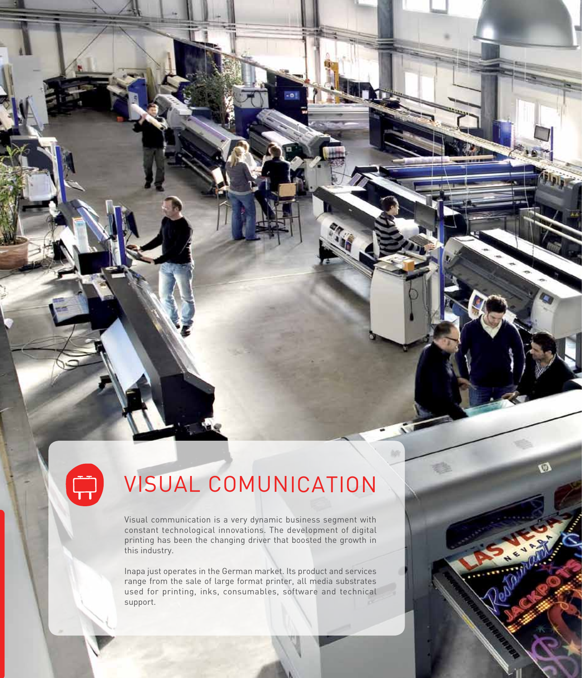$\int_{\mathsf{T} \mathsf{T}}^{\mathsf{T} \mathsf{r}}$ 

# visual Comunication

Ø

Visual communication is a very dynamic business segment with constant technological innovations. The development of digital printing has been the changing driver that boosted the growth in this industry.

Inapa just operates in the German market. Its product and services range from the sale of large format printer, all media substrates used for printing, inks, consumables, software and technical support.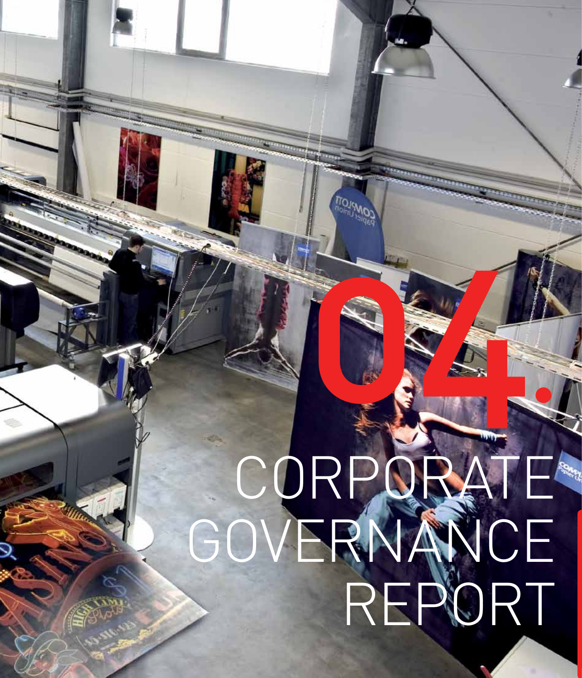# CORPORATE® governance report 2040 10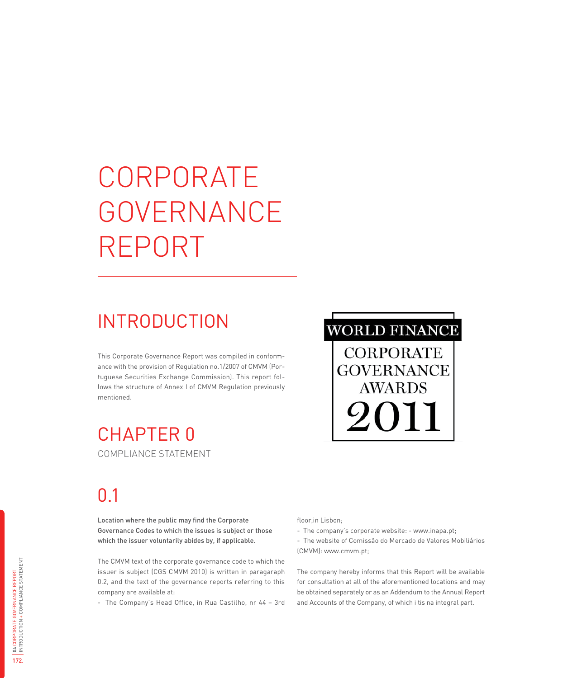# CORPORATE GOVERNANCE REPORT

# **INTRODUCTION**

This Corporate Governance Report was compiled in conformance with the provision of Regulation no.1/2007 of CMVM (Portuguese Securities Exchange Commission). This report follows the structure of Annex I of CMVM Regulation previously mentioned.

CHAPTER 0 Compliance Statement

# 0.1

Location where the public may find the Corporate Governance Codes to which the issues is subject or those which the issuer voluntarily abides by, if applicable.

The CMVM text of the corporate governance code to which the issuer is subject (CGS CMVM 2010) is written in paragaraph 0.2, and the text of the governance reports referring to this company are available at:

- The Company's Head Office, in Rua Castilho, nr 44 – 3rd

**WORLD FINANCE CORPORATE GOVERNANCE AWARDS** 2011

floor,in Lisbon;

- The company's corporate website: - www.inapa.pt;

- The website of Comissão do Mercado de Valores Mobiliários (CMVM): www.cmvm.pt;

The company hereby informs that this Report will be available for consultation at all of the aforementioned locations and may be obtained separately or as an Addendum to the Annual Report and Accounts of the Company, of which i tis na integral part.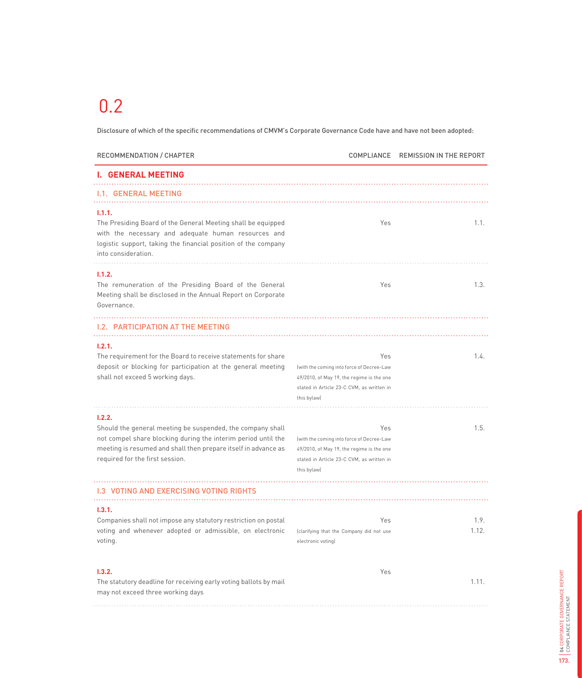# 0.2

Disclosure of which of the specific recommendations of CMVM's Corporate Governance Code have and have not been adopted:

| RECOMMENDATION / CHAPTER                                                                                                                                                                                                                   | COMPLIANCE                                                                                                                                                | <b>REMISSION IN THE REPORT</b> |
|--------------------------------------------------------------------------------------------------------------------------------------------------------------------------------------------------------------------------------------------|-----------------------------------------------------------------------------------------------------------------------------------------------------------|--------------------------------|
| <b>I. GENERAL MEETING</b>                                                                                                                                                                                                                  |                                                                                                                                                           |                                |
| <b>I.1. GENERAL MEETING</b>                                                                                                                                                                                                                |                                                                                                                                                           |                                |
| 1.1.1.<br>The Presiding Board of the General Meeting shall be equipped<br>with the necessary and adequate human resources and<br>logistic support, taking the financial position of the company<br>into consideration.                     | Yes                                                                                                                                                       | 1.1.                           |
| 1.1.2.<br>The remuneration of the Presiding Board of the General<br>Meeting shall be disclosed in the Annual Report on Corporate<br>Governance.                                                                                            | Yes                                                                                                                                                       | 1.3.                           |
| 1.2. PARTICIPATION AT THE MEETING                                                                                                                                                                                                          |                                                                                                                                                           |                                |
| 1.2.1.<br>The requirement for the Board to receive statements for share<br>deposit or blocking for participation at the general meeting<br>shall not exceed 5 working days.                                                                | Yes<br>(with the coming into force of Decree-Law<br>49/2010, of May 19, the regime is the one<br>stated in Article 23-C CVM, as written in<br>this bylaw) | 1.4.                           |
| 1.2.2.<br>Should the general meeting be suspended, the company shall<br>not compel share blocking during the interim period until the<br>meeting is resumed and shall then prepare itself in advance as<br>required for the first session. | Yes<br>(with the coming into force of Decree-Law<br>49/2010, of May 19, the regime is the one<br>stated in Article 23-C CVM, as written in<br>this bylaw) | 1.5.                           |
| <b>1.3 VOTING AND EXERCISING VOTING RIGHTS</b>                                                                                                                                                                                             |                                                                                                                                                           |                                |
| 1.3.1.<br>Companies shall not impose any statutory restriction on postal<br>voting and whenever adopted or admissible, on electronic (clarifying that the Company did not use<br>voting.                                                   | Yes<br>electronic voting)                                                                                                                                 | 1.9.<br>1.12.                  |
| 1.3.2.<br>The statutory deadline for receiving early voting ballots by mail<br>may not exceed three working days                                                                                                                           | Yes                                                                                                                                                       | 1.11.                          |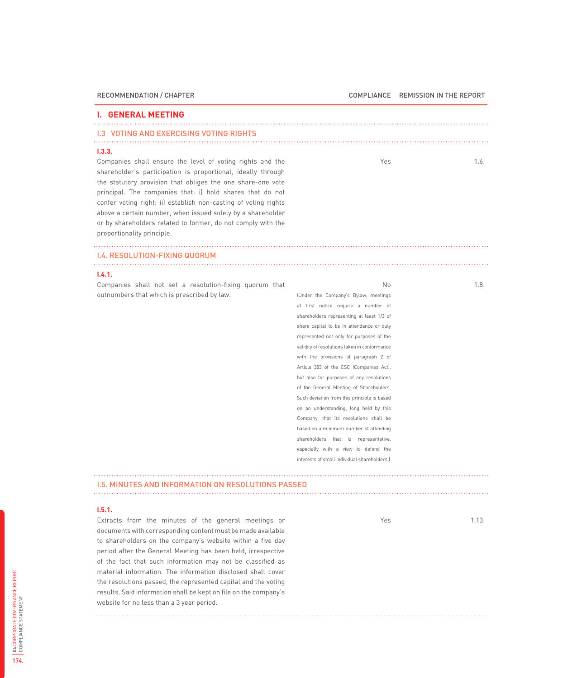| <b>RECOMMENDATION / CHAPTER</b> |  |
|---------------------------------|--|
|---------------------------------|--|

| <b>GENERAL MEETING</b>                                                                                                                                                                                                                                                                                                                                                                                                                                                                                                                                                      |                                                                                                                                                                                                                                                                                                                                                                                                                                                                                                                                                                                                                                                                                                                                                                 |       |
|-----------------------------------------------------------------------------------------------------------------------------------------------------------------------------------------------------------------------------------------------------------------------------------------------------------------------------------------------------------------------------------------------------------------------------------------------------------------------------------------------------------------------------------------------------------------------------|-----------------------------------------------------------------------------------------------------------------------------------------------------------------------------------------------------------------------------------------------------------------------------------------------------------------------------------------------------------------------------------------------------------------------------------------------------------------------------------------------------------------------------------------------------------------------------------------------------------------------------------------------------------------------------------------------------------------------------------------------------------------|-------|
| VOTING AND EXERCISING VOTING RIGHTS                                                                                                                                                                                                                                                                                                                                                                                                                                                                                                                                         |                                                                                                                                                                                                                                                                                                                                                                                                                                                                                                                                                                                                                                                                                                                                                                 |       |
| 1.3.3.<br>Companies shall ensure the level of voting rights and the<br>shareholder's participation is proportional, ideally through<br>the statutory provision that obliges the one share-one vote<br>principal. The companies that: i) hold shares that do not<br>confer voting right; ii) establish non-casting of voting rights<br>above a certain number, when issued solely by a shareholder<br>or by shareholders related to former, do not comply with the<br>proportionality principle.                                                                             | Yes                                                                                                                                                                                                                                                                                                                                                                                                                                                                                                                                                                                                                                                                                                                                                             | 1.6.  |
| 1.4. RESOLUTION-FIXING QUORUM                                                                                                                                                                                                                                                                                                                                                                                                                                                                                                                                               |                                                                                                                                                                                                                                                                                                                                                                                                                                                                                                                                                                                                                                                                                                                                                                 |       |
| 1.4.1.<br>Companies shall not set a resolution-fixing quorum that<br>outnumbers that which is prescribed by law.                                                                                                                                                                                                                                                                                                                                                                                                                                                            | No<br>(Under the Company's Bylaw, meetings<br>at first notice require a number of<br>shareholders representing at least 1/3 of<br>share capital to be in attendance or duly<br>represented not only for purposes of the<br>validity of resolutions taken in conformance<br>with the provisions of paragraph 2 of<br>Article 383 of the CSC (Companies Act),<br>but also for purposes of any resolutions<br>of the General Meeting of Shareholders.<br>Such deviation from this principle is based<br>on an understanding, long held by this<br>Company, that its resolutions shall be<br>based on a minimum number of attending<br>shareholders that is representative,<br>especially with a view to defend the<br>interests of small individual shareholders.) | 1.8.  |
| I.5. MINUTES AND INFORMATION ON RESOLUTIONS PASSED                                                                                                                                                                                                                                                                                                                                                                                                                                                                                                                          |                                                                                                                                                                                                                                                                                                                                                                                                                                                                                                                                                                                                                                                                                                                                                                 |       |
| 1.5.1.<br>Extracts from the minutes of the general meetings or<br>documents with corresponding content must be made available<br>to shareholders on the company's website within a five day<br>period after the General Meeting has been held, irrespective<br>of the fact that such information may not be classified as<br>material information. The information disclosed shall cover<br>the resolutions passed, the represented capital and the voting<br>results. Said information shall be kept on file on the company's<br>website for no less than a 3 year period. | Yes                                                                                                                                                                                                                                                                                                                                                                                                                                                                                                                                                                                                                                                                                                                                                             | 1.13. |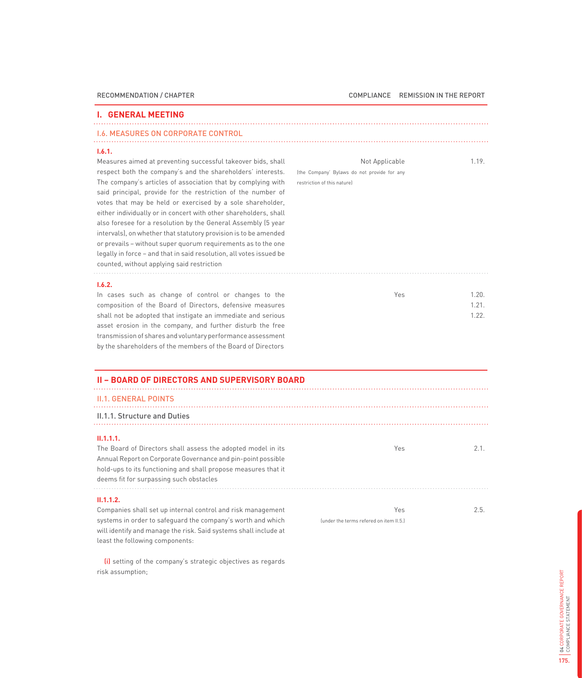| <b>RECOMMENDATION / CHAPTER</b>                                                                                                                                                                                                                                                                                                                                                                                                                                                                                                                                                                                                                                                                                                    |                                                                                              | COMPLIANCE REMISSION IN THE REPORT |
|------------------------------------------------------------------------------------------------------------------------------------------------------------------------------------------------------------------------------------------------------------------------------------------------------------------------------------------------------------------------------------------------------------------------------------------------------------------------------------------------------------------------------------------------------------------------------------------------------------------------------------------------------------------------------------------------------------------------------------|----------------------------------------------------------------------------------------------|------------------------------------|
| <b>I. GENERAL MEETING</b>                                                                                                                                                                                                                                                                                                                                                                                                                                                                                                                                                                                                                                                                                                          |                                                                                              |                                    |
| <b>I.6. MEASURES ON CORPORATE CONTROL</b>                                                                                                                                                                                                                                                                                                                                                                                                                                                                                                                                                                                                                                                                                          |                                                                                              |                                    |
| 1.6.1.<br>Measures aimed at preventing successful takeover bids, shall<br>respect both the company's and the shareholders' interests.<br>The company's articles of association that by complying with<br>said principal, provide for the restriction of the number of<br>votes that may be held or exercised by a sole shareholder,<br>either individually or in concert with other shareholders, shall<br>also foresee for a resolution by the General Assembly (5 year<br>intervals), on whether that statutory provision is to be amended<br>or prevails - without super quorum requirements as to the one<br>legally in force - and that in said resolution, all votes issued be<br>counted, without applying said restriction | Not Applicable<br>(the Company' Bylaws do not provide for any<br>restriction of this naturel | 1.19.                              |
| 1.6.2.<br>In cases such as change of control or changes to the<br>composition of the Board of Directors, defensive measures<br>shall not be adopted that instigate an immediate and serious<br>asset erosion in the company, and further disturb the free<br>transmission of shares and voluntary performance assessment<br>by the shareholders of the members of the Board of Directors                                                                                                                                                                                                                                                                                                                                           |                                                                                              | 1.20.<br>Yes<br>1.21.<br>1.22.     |
| <b>II - BOARD OF DIRECTORS AND SUPERVISORY BOARD</b>                                                                                                                                                                                                                                                                                                                                                                                                                                                                                                                                                                                                                                                                               |                                                                                              |                                    |
| <b>II.1. GENERAL POINTS</b>                                                                                                                                                                                                                                                                                                                                                                                                                                                                                                                                                                                                                                                                                                        |                                                                                              |                                    |
| II.1.1. Structure and Duties                                                                                                                                                                                                                                                                                                                                                                                                                                                                                                                                                                                                                                                                                                       |                                                                                              |                                    |
| II.1.1.1.<br>The Board of Directors shall assess the adopted model in its<br>Annual Report on Corporate Governance and pin-point possible<br>hold-ups to its functioning and shall propose measures that it<br>deems fit for surpassing such obstacles                                                                                                                                                                                                                                                                                                                                                                                                                                                                             |                                                                                              | Yes<br>2.1.                        |
| II.1.1.2.<br>Companies shall set up internal control and risk management<br>systems in order to safeguard the company's worth and which<br>will identify and manage the risk. Said systems shall include at<br>least the following components:                                                                                                                                                                                                                                                                                                                                                                                                                                                                                     | funder the terms refered on item II.5.)                                                      | Yes<br>2.5.                        |

(i) setting of the company's strategic objectives as regards risk assumption;

# 1 04 CORPORATE GOVERNANCE REPORT<br>[20 NPLIANCE STATEMENT] compliance statement 04 corporate governance report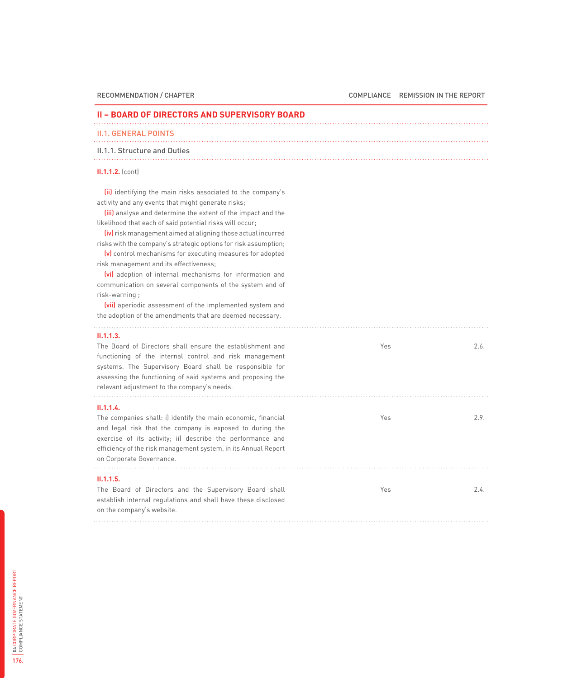| II – BOARD OF DIRECTORS AND SUPERVISORY BOARD                                                                                                                                                                                                                                                                                                                                                                                                                                                                                                                                                                                                                                                                                                             |             |
|-----------------------------------------------------------------------------------------------------------------------------------------------------------------------------------------------------------------------------------------------------------------------------------------------------------------------------------------------------------------------------------------------------------------------------------------------------------------------------------------------------------------------------------------------------------------------------------------------------------------------------------------------------------------------------------------------------------------------------------------------------------|-------------|
| II.1. GENERAL POINTS                                                                                                                                                                                                                                                                                                                                                                                                                                                                                                                                                                                                                                                                                                                                      |             |
| II.1.1. Structure and Duties                                                                                                                                                                                                                                                                                                                                                                                                                                                                                                                                                                                                                                                                                                                              |             |
| $II.1.1.2.$ (cont)                                                                                                                                                                                                                                                                                                                                                                                                                                                                                                                                                                                                                                                                                                                                        |             |
| (ii) identifying the main risks associated to the company's<br>activity and any events that might generate risks;<br>(iii) analyse and determine the extent of the impact and the<br>likelihood that each of said potential risks will occur;<br>(iv) risk management aimed at aligning those actual incurred<br>risks with the company's strategic options for risk assumption;<br>(v) control mechanisms for executing measures for adopted<br>risk management and its effectiveness;<br>(vi) adoption of internal mechanisms for information and<br>communication on several components of the system and of<br>risk-warning;<br>(vii) aperiodic assessment of the implemented system and<br>the adoption of the amendments that are deemed necessary. |             |
| II.1.1.3.<br>The Board of Directors shall ensure the establishment and<br>functioning of the internal control and risk management<br>systems. The Supervisory Board shall be responsible for<br>assessing the functioning of said systems and proposing the<br>relevant adjustment to the company's needs.                                                                                                                                                                                                                                                                                                                                                                                                                                                | 2.6.<br>Yes |
| II.1.1.4.<br>The companies shall: i) identify the main economic, financial<br>and legal risk that the company is exposed to during the<br>exercise of its activity; ii) describe the performance and<br>efficiency of the risk management system, in its Annual Report<br>on Corporate Governance.                                                                                                                                                                                                                                                                                                                                                                                                                                                        | 2.9.<br>Yes |
| II.1.1.5.<br>The Board of Directors and the Supervisory Board shall<br>establish internal regulations and shall have these disclosed<br>on the company's website.                                                                                                                                                                                                                                                                                                                                                                                                                                                                                                                                                                                         | 2.4.<br>Yes |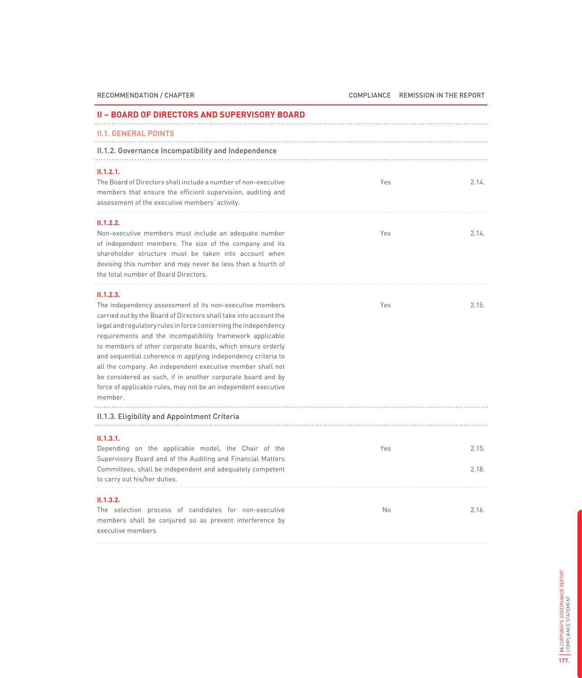| II – BOARD OF DIRECTORS AND SUPERVISORY BOARD                                                                                                                                                                                                                                                                                                                                                                                                                                                                                                                                                                       |     |                |
|---------------------------------------------------------------------------------------------------------------------------------------------------------------------------------------------------------------------------------------------------------------------------------------------------------------------------------------------------------------------------------------------------------------------------------------------------------------------------------------------------------------------------------------------------------------------------------------------------------------------|-----|----------------|
| <b>II.1. GENERAL POINTS</b>                                                                                                                                                                                                                                                                                                                                                                                                                                                                                                                                                                                         |     |                |
| II.1.2. Governance Incompatibility and Independence                                                                                                                                                                                                                                                                                                                                                                                                                                                                                                                                                                 |     |                |
| II.1.2.1.<br>The Board of Directors shall include a number of non-executive<br>members that ensure the efficient supervision, auditing and<br>assessment of the executive members' activity.                                                                                                                                                                                                                                                                                                                                                                                                                        | Yes | 2.14.          |
| II.1.2.2.<br>Non-executive members must include an adequate number<br>of independent members. The size of the company and its<br>shareholder structure must be taken into account when<br>devising this number and may never be less than a fourth of<br>the total number of Board Directors.                                                                                                                                                                                                                                                                                                                       | Yes | 2.14.          |
| II.1.2.3.<br>The independency assessment of its non-executive members<br>carried out by the Board of Directors shall take into account the<br>legal and regulatory rules in force concerning the independency<br>requirements and the incompatibility framework applicable<br>to members of other corporate boards, which ensure orderly<br>and sequential coherence in applying independency criteria to<br>all the company. An independent executive member shall not<br>be considered as such, if in another corporate board and by<br>force of applicable rules, may not be an independent executive<br>member. | Yes | 2.15.          |
| II.1.3. Eligibility and Appointment Criteria                                                                                                                                                                                                                                                                                                                                                                                                                                                                                                                                                                        |     |                |
| II.1.3.1.<br>Depending on the applicable model, the Chair of the<br>Supervisory Board and of the Auditing and Financial Matters<br>Committees, shall be independent and adequately competent<br>to carry out his/her duties.                                                                                                                                                                                                                                                                                                                                                                                        | Yes | 2.15.<br>2.18. |
| II.1.3.2.<br>The selection process of candidates for non-executive<br>members shall be conjured so as prevent interference by<br>executive members                                                                                                                                                                                                                                                                                                                                                                                                                                                                  | No  | 2.16.          |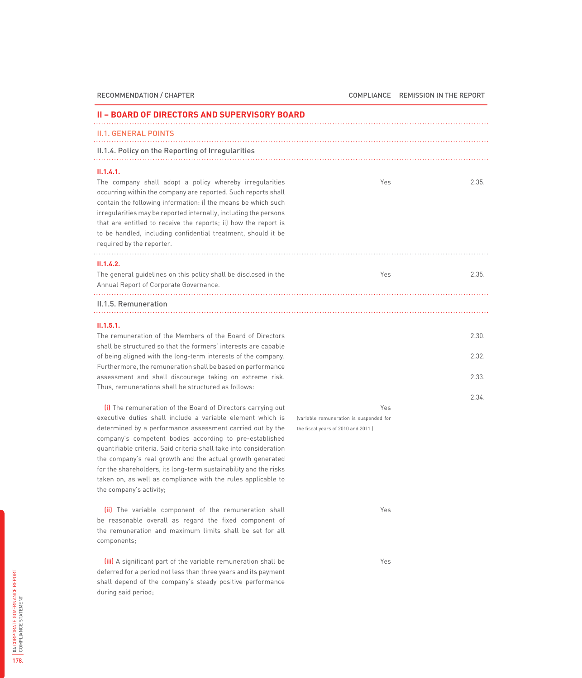Recommendation / Chapter Compliance Remission in the Report

**II – BOARD OF DIRECTORS AND SUPERVISORY BOARD** II.1. General Points II.1.4. Policy on the Reporting of Irregularities **II.1.4.1.**  $2.35$ The company shall adopt a policy whereby irregularities Yes occurring within the company are reported. Such reports shall contain the following information: i) the means be which such irregularities may be reported internally, including the persons that are entitled to receive the reports; ii) how the report is to be handled, including confidential treatment, should it be required by the reporter. **II.1.4.2.**  The general guidelines on this policy shall be disclosed in the Yes 2.35. Annual Report of Corporate Governance. II.1.5. Remuneration **II.1.5.1.** The remuneration of the Members of the Board of Directors 2.30. shall be structured so that the formers' interests are capable 2.32. of being aligned with the long-term interests of the company. Furthermore, the remuneration shall be based on performance 2.33. assessment and shall discourage taking on extreme risk. Thus, remunerations shall be structured as follows: 2.34. (i) The remuneration of the Board of Directors carrying out Yes (variable remuneration is suspended for

executive duties shall include a variable element which is determined by a performance assessment carried out by the company's competent bodies according to pre-established quantifiable criteria. Said criteria shall take into consideration the company's real growth and the actual growth generated for the shareholders, its long-term sustainability and the risks taken on, as well as compliance with the rules applicable to the company's activity;

(ii) The variable component of the remuneration shall be reasonable overall as regard the fixed component of the remuneration and maximum limits shall be set for all components;

(iii) A significant part of the variable remuneration shall be deferred for a period not less than three years and its payment shall depend of the company's steady positive performance during said period;

the fiscal years of 2010 and 2011.)

Yes

Yes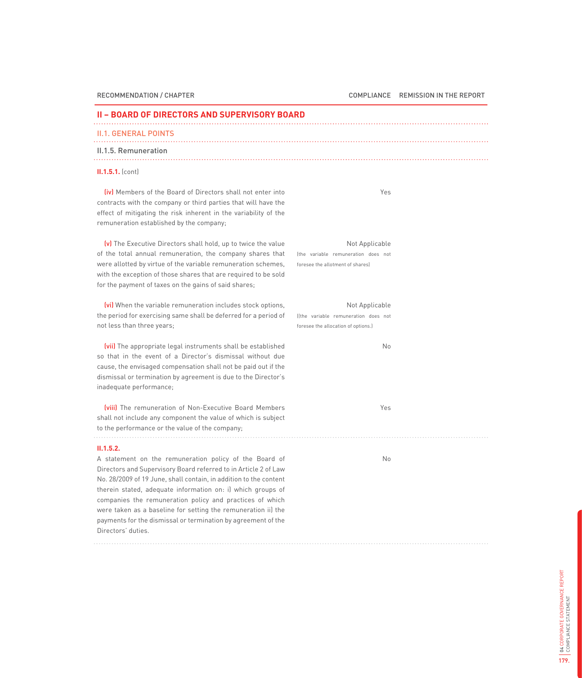| <b>II - BOARD OF DIRECTORS AND SUPERVISORY BOARD</b> |
|------------------------------------------------------|
| <b>II.1. GENERAL POINTS</b>                          |
| II.1.5. Remuneration                                 |
| $II.1.5.1.$ (cont)                                   |

(iv) Members of the Board of Directors shall not enter into contracts with the company or third parties that will have the effect of mitigating the risk inherent in the variability of the remuneration established by the company;

(v) The Executive Directors shall hold, up to twice the value of the total annual remuneration, the company shares that were allotted by virtue of the variable remuneration schemes, with the exception of those shares that are required to be sold for the payment of taxes on the gains of said shares;

(vi) When the variable remuneration includes stock options, the period for exercising same shall be deferred for a period of not less than three years;

(vii) The appropriate legal instruments shall be established so that in the event of a Director's dismissal without due cause, the envisaged compensation shall not be paid out if the dismissal or termination by agreement is due to the Director's inadequate performance;

(viii) The remuneration of Non-Executive Board Members shall not include any component the value of which is subject to the performance or the value of the company; 

#### **II.1.5.2.**

A statement on the remuneration policy of the Board of Directors and Supervisory Board referred to in Article 2 of Law No. 28/2009 of 19 June, shall contain, in addition to the content therein stated, adequate information on: i) which groups of companies the remuneration policy and practices of which were taken as a baseline for setting the remuneration ii) the payments for the dismissal or termination by agreement of the Directors' duties.

Yes

#### Not Applicable (the variable remuneration does not foresee the allotment of shares)

Not Applicable

((the variable remuneration does not foresee the allocation of options.)

No

Yes

No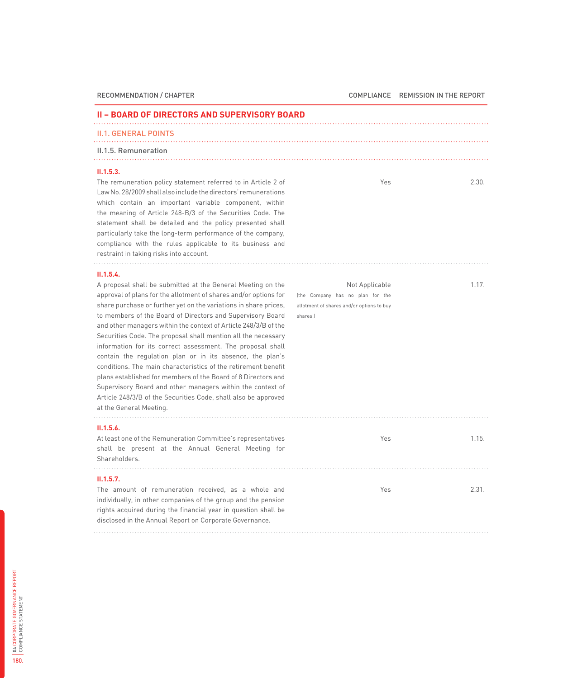| II – BOARD OF DIRECTORS AND SUPERVISORY BOARD                                                                                                                                                                                                                                                                                                                                                                                                                                                                                                                                                                                                                                                                                                                                                                                               |                                                                                                             |       |
|---------------------------------------------------------------------------------------------------------------------------------------------------------------------------------------------------------------------------------------------------------------------------------------------------------------------------------------------------------------------------------------------------------------------------------------------------------------------------------------------------------------------------------------------------------------------------------------------------------------------------------------------------------------------------------------------------------------------------------------------------------------------------------------------------------------------------------------------|-------------------------------------------------------------------------------------------------------------|-------|
| I.1. GENERAL POINTS                                                                                                                                                                                                                                                                                                                                                                                                                                                                                                                                                                                                                                                                                                                                                                                                                         |                                                                                                             |       |
| II.1.5. Remuneration                                                                                                                                                                                                                                                                                                                                                                                                                                                                                                                                                                                                                                                                                                                                                                                                                        |                                                                                                             |       |
| II.1.5.3.<br>The remuneration policy statement referred to in Article 2 of<br>Law No. 28/2009 shall also include the directors' remunerations<br>which contain an important variable component, within<br>the meaning of Article 248-B/3 of the Securities Code. The<br>statement shall be detailed and the policy presented shall<br>particularly take the long-term performance of the company,<br>compliance with the rules applicable to its business and<br>restraint in taking risks into account.                                                                                                                                                                                                                                                                                                                                    | Yes                                                                                                         | 2.30. |
| II.1.5.4.<br>A proposal shall be submitted at the General Meeting on the<br>approval of plans for the allotment of shares and/or options for<br>share purchase or further yet on the variations in share prices,<br>to members of the Board of Directors and Supervisory Board<br>and other managers within the context of Article 248/3/B of the<br>Securities Code. The proposal shall mention all the necessary<br>information for its correct assessment. The proposal shall<br>contain the regulation plan or in its absence, the plan's<br>conditions. The main characteristics of the retirement benefit<br>plans established for members of the Board of 8 Directors and<br>Supervisory Board and other managers within the context of<br>Article 248/3/B of the Securities Code, shall also be approved<br>at the General Meeting. | Not Applicable<br>(the Company has no plan for the<br>allotment of shares and/or options to buy<br>shares.) | 1.17. |
| II.1.5.6.<br>At least one of the Remuneration Committee's representatives<br>shall be present at the Annual General Meeting for<br>Shareholders.                                                                                                                                                                                                                                                                                                                                                                                                                                                                                                                                                                                                                                                                                            | Yes                                                                                                         | 1.15. |
| II.1.5.7.<br>The amount of remuneration received, as a whole and<br>individually, in other companies of the group and the pension<br>rights acquired during the financial year in question shall be<br>disclosed in the Annual Report on Corporate Governance.                                                                                                                                                                                                                                                                                                                                                                                                                                                                                                                                                                              | Yes                                                                                                         | 2.31. |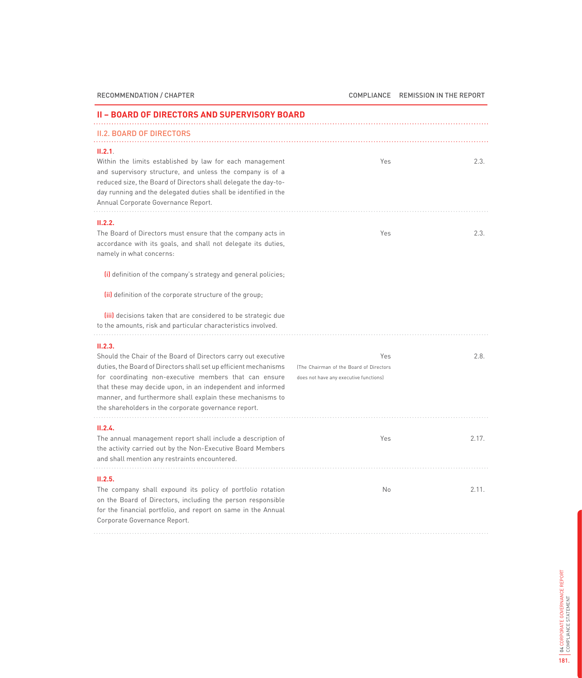RECOMMENDATION / CHAPTER COMPLIANCE REMISSION IN THE REPORT

| <b>II - BOARD OF DIRECTORS AND SUPERVISORY BOARD</b>                                                                                                                                                                                                                                                                                                                                       |                                                                                          |       |
|--------------------------------------------------------------------------------------------------------------------------------------------------------------------------------------------------------------------------------------------------------------------------------------------------------------------------------------------------------------------------------------------|------------------------------------------------------------------------------------------|-------|
| II.2. BOARD OF DIRECTORS                                                                                                                                                                                                                                                                                                                                                                   |                                                                                          |       |
| II.2.1.<br>Within the limits established by law for each management<br>and supervisory structure, and unless the company is of a<br>reduced size, the Board of Directors shall delegate the day-to-<br>day running and the delegated duties shall be identified in the<br>Annual Corporate Governance Report.                                                                              | Yes                                                                                      | 2.3.  |
| II.2.2.<br>The Board of Directors must ensure that the company acts in<br>accordance with its goals, and shall not delegate its duties,<br>namely in what concerns:                                                                                                                                                                                                                        | Yes                                                                                      | 2.3.  |
| (i) definition of the company's strategy and general policies;<br>(ii) definition of the corporate structure of the group;<br>(iii) decisions taken that are considered to be strategic due                                                                                                                                                                                                |                                                                                          |       |
| to the amounts, risk and particular characteristics involved.                                                                                                                                                                                                                                                                                                                              |                                                                                          |       |
| II.2.3.<br>Should the Chair of the Board of Directors carry out executive<br>duties, the Board of Directors shall set up efficient mechanisms<br>for coordinating non-executive members that can ensure<br>that these may decide upon, in an independent and informed<br>manner, and furthermore shall explain these mechanisms to<br>the shareholders in the corporate governance report. | Yes<br>[The Chairman of the Board of Directors<br>does not have any executive functions) | 2.8.  |
| II.2.4.<br>The annual management report shall include a description of<br>the activity carried out by the Non-Executive Board Members<br>and shall mention any restraints encountered.                                                                                                                                                                                                     | Yes                                                                                      | 2.17. |
| II.2.5.<br>The company shall expound its policy of portfolio rotation<br>on the Board of Directors, including the person responsible<br>for the financial portfolio, and report on same in the Annual<br>Corporate Governance Report.                                                                                                                                                      | No                                                                                       | 2.11. |
|                                                                                                                                                                                                                                                                                                                                                                                            |                                                                                          |       |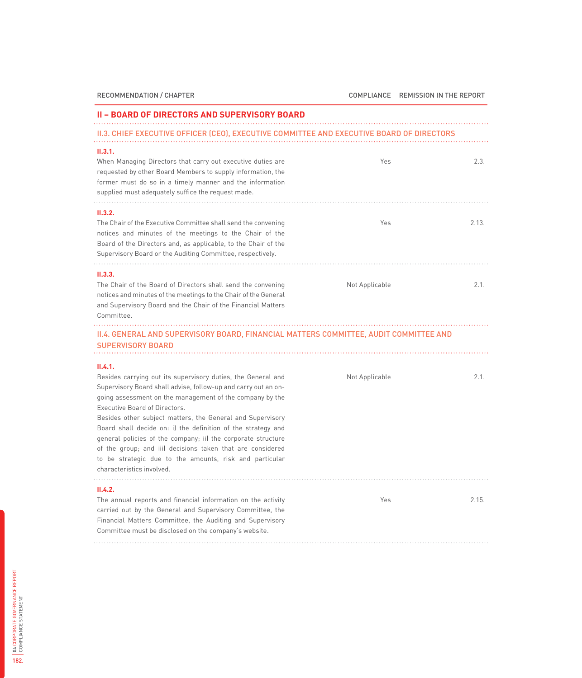| II – BOARD OF DIRECTORS AND SUPERVISORY BOARD                                                                                                                                                                                                                                                                                                                                                                                                                                                                                                                                              |                |       |
|--------------------------------------------------------------------------------------------------------------------------------------------------------------------------------------------------------------------------------------------------------------------------------------------------------------------------------------------------------------------------------------------------------------------------------------------------------------------------------------------------------------------------------------------------------------------------------------------|----------------|-------|
| II.3. CHIEF EXECUTIVE OFFICER ICEOI. EXECUTIVE COMMITTEE AND EXECUTIVE BOARD OF DIRECTORS                                                                                                                                                                                                                                                                                                                                                                                                                                                                                                  |                |       |
| II.3.1.<br>When Managing Directors that carry out executive duties are<br>requested by other Board Members to supply information, the<br>former must do so in a timely manner and the information<br>supplied must adequately suffice the request made.                                                                                                                                                                                                                                                                                                                                    | Yes            | 2.3.  |
| II.3.2.<br>The Chair of the Executive Committee shall send the convening<br>notices and minutes of the meetings to the Chair of the<br>Board of the Directors and, as applicable, to the Chair of the<br>Supervisory Board or the Auditing Committee, respectively.                                                                                                                                                                                                                                                                                                                        | Yes            | 2.13. |
| II.3.3.<br>The Chair of the Board of Directors shall send the convening<br>notices and minutes of the meetings to the Chair of the General<br>and Supervisory Board and the Chair of the Financial Matters<br>Committee.                                                                                                                                                                                                                                                                                                                                                                   | Not Applicable | 2.1.  |
| II.4. GENERAL AND SUPERVISORY BOARD, FINANCIAL MATTERS COMMITTEE, AUDIT COMMITTEE AND<br>SUPERVISORY BOARD                                                                                                                                                                                                                                                                                                                                                                                                                                                                                 |                |       |
| II.4.1.<br>Besides carrying out its supervisory duties, the General and<br>Supervisory Board shall advise, follow-up and carry out an on-<br>going assessment on the management of the company by the<br>Executive Board of Directors.<br>Besides other subject matters, the General and Supervisory<br>Board shall decide on: i) the definition of the strategy and<br>general policies of the company; ii) the corporate structure<br>of the group; and iii) decisions taken that are considered<br>to be strategic due to the amounts, risk and particular<br>characteristics involved. | Not Applicable | 2.1.  |
| II.4.2.<br>The annual reports and financial information on the activity<br>carried out by the General and Supervisory Committee, the<br>Financial Matters Committee, the Auditing and Supervisory<br>Committee must be disclosed on the company's website.                                                                                                                                                                                                                                                                                                                                 | Yes            | 2.15. |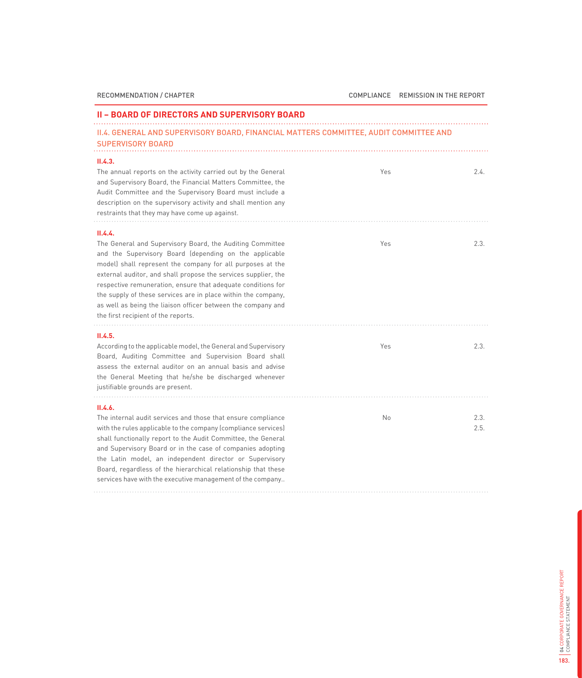| II – BOARD OF DIRECTORS AND SUPERVISORY BOARD                                                                                                                                                                                                                                                                                                                                                                                                                                                          |     |              |
|--------------------------------------------------------------------------------------------------------------------------------------------------------------------------------------------------------------------------------------------------------------------------------------------------------------------------------------------------------------------------------------------------------------------------------------------------------------------------------------------------------|-----|--------------|
| II.4. GENERAL AND SUPERVISORY BOARD, FINANCIAL MATTERS COMMITTEE, AUDIT COMMITTEE AND<br><b>SUPERVISORY BOARD</b>                                                                                                                                                                                                                                                                                                                                                                                      |     |              |
| II.4.3.<br>The annual reports on the activity carried out by the General<br>and Supervisory Board, the Financial Matters Committee, the<br>Audit Committee and the Supervisory Board must include a<br>description on the supervisory activity and shall mention any<br>restraints that they may have come up against.                                                                                                                                                                                 | Yes | 2.4.         |
| II.4.4.<br>The General and Supervisory Board, the Auditing Committee<br>and the Supervisory Board (depending on the applicable<br>model) shall represent the company for all purposes at the<br>external auditor, and shall propose the services supplier, the<br>respective remuneration, ensure that adequate conditions for<br>the supply of these services are in place within the company,<br>as well as being the liaison officer between the company and<br>the first recipient of the reports. | Yes | 2.3.         |
| II.4.5.<br>According to the applicable model, the General and Supervisory<br>Board, Auditing Committee and Supervision Board shall<br>assess the external auditor on an annual basis and advise<br>the General Meeting that he/she be discharged whenever<br>justifiable grounds are present.                                                                                                                                                                                                          | Yes | 2.3.         |
| II.4.6.<br>The internal audit services and those that ensure compliance<br>with the rules applicable to the company (compliance services)<br>shall functionally report to the Audit Committee, the General<br>and Supervisory Board or in the case of companies adopting<br>the Latin model, an independent director or Supervisory<br>Board, regardless of the hierarchical relationship that these<br>services have with the executive management of the company                                     | No  | 2.3.<br>2.5. |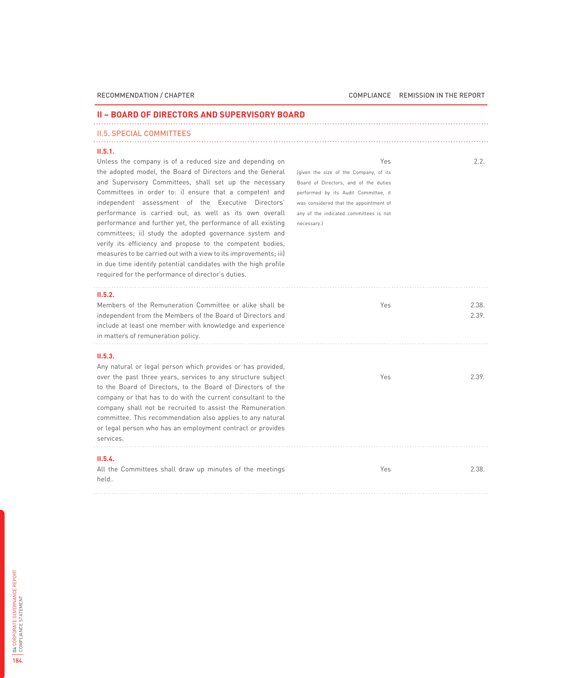| <b>II - BOARD OF DIRECTORS AND SUPERVISORY BOARD</b>                                                                                                                                                                                                                                                                                                                                                                                                                                                                                                                                                                                                                                                                                                       |                                                                                                                                                                                                                                   |                |
|------------------------------------------------------------------------------------------------------------------------------------------------------------------------------------------------------------------------------------------------------------------------------------------------------------------------------------------------------------------------------------------------------------------------------------------------------------------------------------------------------------------------------------------------------------------------------------------------------------------------------------------------------------------------------------------------------------------------------------------------------------|-----------------------------------------------------------------------------------------------------------------------------------------------------------------------------------------------------------------------------------|----------------|
| II.5. SPECIAL COMMITTEES                                                                                                                                                                                                                                                                                                                                                                                                                                                                                                                                                                                                                                                                                                                                   |                                                                                                                                                                                                                                   |                |
| II.5.1.<br>Unless the company is of a reduced size and depending on<br>the adopted model, the Board of Directors and the General<br>and Supervisory Committees, shall set up the necessary<br>Committees in order to: i) ensure that a competent and<br>independent assessment of the Executive Directors'<br>performance is carried out, as well as its own overall<br>performance and further yet, the performance of all existing<br>committees; ii) study the adopted governance system and<br>verify its efficiency and propose to the competent bodies,<br>measures to be carried out with a view to its improvements; iii)<br>in due time identify potential candidates with the high profile<br>required for the performance of director's duties. | Yes<br>(given the size of the Company, of its<br>Board of Directors, and of the duties<br>performed by its Audit Committee, it<br>was considered that the appointment of<br>any of the indicated committees is not<br>necessary.) | 2.2.           |
| II.5.2.<br>Members of the Remuneration Committee or alike shall be<br>independent from the Members of the Board of Directors and<br>include at least one member with knowledge and experience<br>in matters of remuneration policy.                                                                                                                                                                                                                                                                                                                                                                                                                                                                                                                        | Yes                                                                                                                                                                                                                               | 2.38.<br>2.39. |
| II.5.3.<br>Any natural or legal person which provides or has provided,<br>over the past three years, services to any structure subject<br>to the Board of Directors, to the Board of Directors of the<br>company or that has to do with the current consultant to the<br>company shall not be recruited to assist the Remuneration<br>committee. This recommendation also applies to any natural<br>or legal person who has an employment contract or provides<br>services.                                                                                                                                                                                                                                                                                | Yes                                                                                                                                                                                                                               | 2.39.          |
| II.5.4.<br>All the Committees shall draw up minutes of the meetings<br>held                                                                                                                                                                                                                                                                                                                                                                                                                                                                                                                                                                                                                                                                                | Yes                                                                                                                                                                                                                               | 2.38.          |

RECOMMENDATION / CHAPTER COMPLIANCE REMISSION IN THE REPORT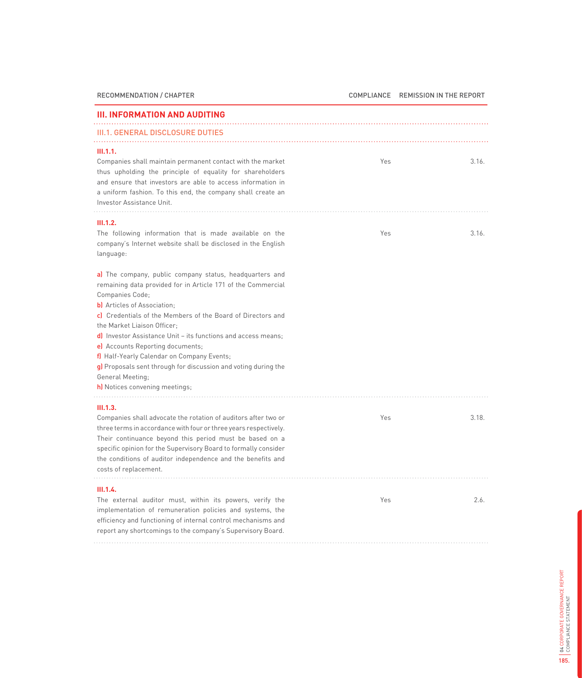RECOMMENDATION / CHAPTER COMPLIANCE REMISSION IN THE REPORT **III. INFORMATION AND AUDITING** III.1. General Disclosure Duties **III.1.1.** Companies shall maintain permanent contact with the market Yes 3.16. thus upholding the principle of equality for shareholders and ensure that investors are able to access information in a uniform fashion. To this end, the company shall create an Investor Assistance Unit. **III.1.2.** The following information that is made available on the Yes 3.16. company's Internet website shall be disclosed in the English language: a) The company, public company status, headquarters and remaining data provided for in Article 171 of the Commercial Companies Code; b) Articles of Association; c) Credentials of the Members of the Board of Directors and the Market Liaison Officer; d) Investor Assistance Unit - its functions and access means; e) Accounts Reporting documents; f) Half-Yearly Calendar on Company Events; g) Proposals sent through for discussion and voting during the General Meeting; h) Notices convening meetings; **III.1.3.** Companies shall advocate the rotation of auditors after two or Yes 3.18. three terms in accordance with four or three years respectively. Their continuance beyond this period must be based on a specific opinion for the Supervisory Board to formally consider the conditions of auditor independence and the benefits and costs of replacement. **III.1.4.** The external auditor must, within its powers, verify the Yes 2.6. implementation of remuneration policies and systems, the efficiency and functioning of internal control mechanisms and report any shortcomings to the company's Supervisory Board.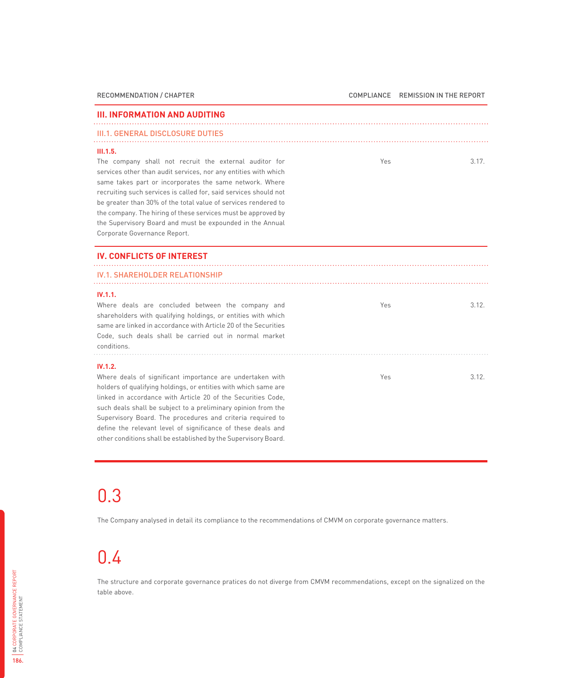RECOMMENDATION / CHAPTER COMPLIANCE REMISSION IN THE REPORT **III. INFORMATION AND AUDITING** III.1. General Disclosure Duties **III.1.5.** The company shall not recruit the external auditor for Yes 3.17. services other than audit services, nor any entities with which same takes part or incorporates the same network. Where recruiting such services is called for, said services should not be greater than 30% of the total value of services rendered to the company. The hiring of these services must be approved by the Supervisory Board and must be expounded in the Annual Corporate Governance Report. **IV. CONFLICTS OF INTEREST** IV.1. Shareholder Relationship **IV.1.1.** Where deals are concluded between the company and Yes 3.12. shareholders with qualifying holdings, or entities with which same are linked in accordance with Article 20 of the Securities Code, such deals shall be carried out in normal market conditions. **IV.1.2.** Where deals of significant importance are undertaken with Yes 3.12. holders of qualifying holdings, or entities with which same are linked in accordance with Article 20 of the Securities Code, such deals shall be subject to a preliminary opinion from the Supervisory Board. The procedures and criteria required to define the relevant level of significance of these deals and other conditions shall be established by the Supervisory Board.

# 0.3

The Company analysed in detail its compliance to the recommendations of CMVM on corporate governance matters.

# 0.4

The structure and corporate governance pratices do not diverge from CMVM recommendations, except on the signalized on the table above.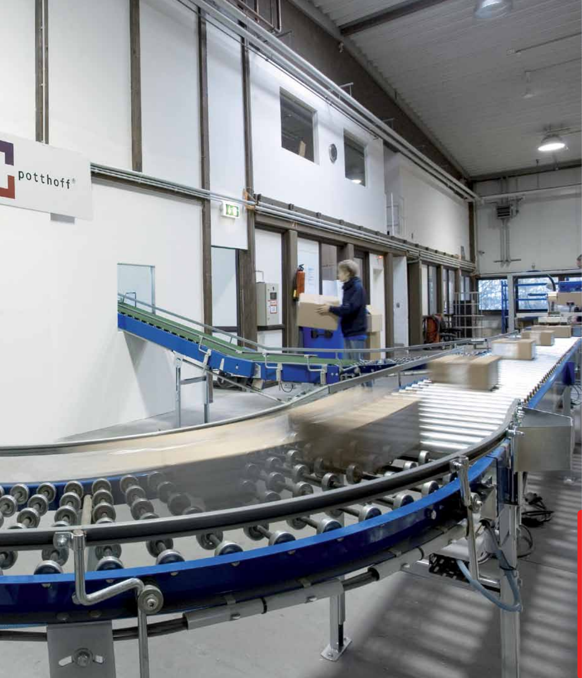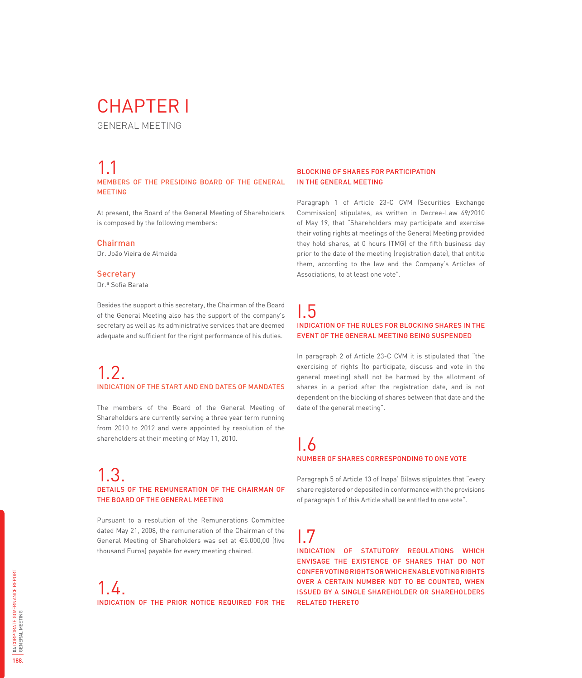## **CHAPTER I** General Meeting

# 1.1

Members of the Presiding Board of the General **MEETING** 

At present, the Board of the General Meeting of Shareholders is composed by the following members:

#### Chairman

Dr. João Vieira de Almeida

#### **Secretary**

Dr.ª Sofia Barata

Besides the support o this secretary, the Chairman of the Board of the General Meeting also has the support of the company's secretary as well as its administrative services that are deemed adequate and sufficient for the right performance of his duties.

## 1.2. Indication of the start and end dates of mandates

The members of the Board of the General Meeting of Shareholders are currently serving a three year term running from 2010 to 2012 and were appointed by resolution of the shareholders at their meeting of May 11, 2010.

# 1.3.

Details of the remuneration of the Chairman of the Board of the General Meeting

Pursuant to a resolution of the Remunerations Committee dated May 21, 2008, the remuneration of the Chairman of the General Meeting of Shareholders was set at €5.000,00 (five thousand Euros) payable for every meeting chaired.

1.4. Indication of the prior notice required for the

#### blocking of shares for participation in the General Meeting

Paragraph 1 of Article 23-C CVM (Securities Exchange Commission) stipulates, as written in Decree-Law 49/2010 of May 19, that "Shareholders may participate and exercise their voting rights at meetings of the General Meeting provided they hold shares, at 0 hours (TMG) of the fifth business day prior to the date of the meeting (registration date), that entitle them, according to the law and the Company's Articles of Associations, to at least one vote".

## I.5

#### Indication of the rules for blocking shares in the event of the General Meeting being suspended

In paragraph 2 of Article 23-C CVM it is stipulated that "the exercising of rights (to participate, discuss and vote in the general meeting) shall not be harmed by the allotment of shares in a period after the registration date, and is not dependent on the blocking of shares between that date and the date of the general meeting".

#### I.6 Number of shares corresponding to one vote

Paragraph 5 of Article 13 of Inapa' Bilaws stipulates that "every share registered or deposited in conformance with the provisions of paragraph 1 of this Article shall be entitled to one vote".

# I.7

Indication of statutory regulations which envisage the existence of shares that do not confer voting rights or which enable voting rights over a certain number not to be counted, when issued by a single shareholder or shareholders related thereto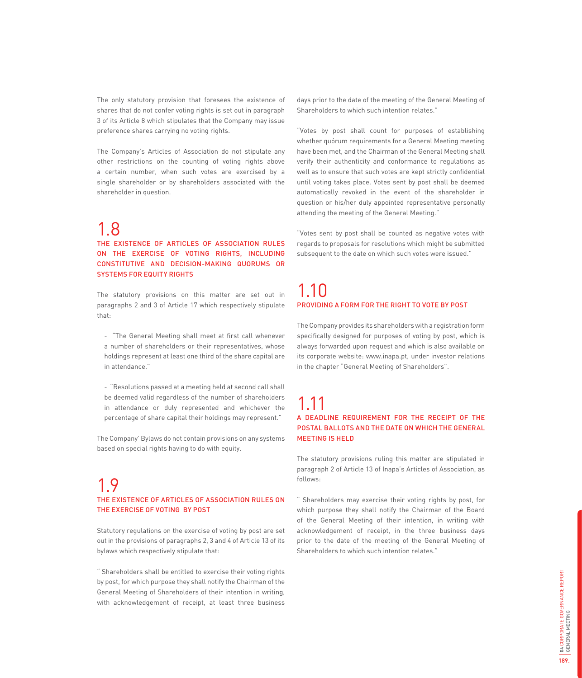The only statutory provision that foresees the existence of shares that do not confer voting rights is set out in paragraph 3 of its Article 8 which stipulates that the Company may issue preference shares carrying no voting rights.

The Company's Articles of Association do not stipulate any other restrictions on the counting of voting rights above a certain number, when such votes are exercised by a single shareholder or by shareholders associated with the shareholder in question.

# 1.8

the existence of articles of association rules on the exercise of voting rights, including constitutive and decision-making quorums or systems for equity rights

The statutory provisions on this matter are set out in paragraphs 2 and 3 of Article 17 which respectively stipulate that:

- "The General Meeting shall meet at first call whenever a number of shareholders or their representatives, whose holdings represent at least one third of the share capital are in attendance."

- "Resolutions passed at a meeting held at second call shall be deemed valid regardless of the number of shareholders in attendance or duly represented and whichever the percentage of share capital their holdings may represent."

The Company' Bylaws do not contain provisions on any systems based on special rights having to do with equity.

# 1.9

#### The existence of articles of association rules on the exercise of voting by post

Statutory regulations on the exercise of voting by post are set out in the provisions of paragraphs 2, 3 and 4 of Article 13 of its bylaws which respectively stipulate that:

" Shareholders shall be entitled to exercise their voting rights by post, for which purpose they shall notify the Chairman of the General Meeting of Shareholders of their intention in writing, with acknowledgement of receipt, at least three business days prior to the date of the meeting of the General Meeting of Shareholders to which such intention relates."

"Votes by post shall count for purposes of establishing whether quórum requirements for a General Meeting meeting have been met, and the Chairman of the General Meeting shall verify their authenticity and conformance to regulations as well as to ensure that such votes are kept strictly confidential until voting takes place. Votes sent by post shall be deemed automatically revoked in the event of the shareholder in question or his/her duly appointed representative personally attending the meeting of the General Meeting."

"Votes sent by post shall be counted as negative votes with regards to proposals for resolutions which might be submitted subsequent to the date on which such votes were issued."

#### 1.10 Providing a form for the right to vote by post

The Company provides its shareholders with a registration form specifically designed for purposes of voting by post, which is always forwarded upon request and which is also available on its corporate website: www.inapa.pt, under investor relations in the chapter "General Meeting of Shareholders".

#### 1.11 A deadline requirement for the receipt of the postal ballots and the date on which the General Meeting is held

The statutory provisions ruling this matter are stipulated in paragraph 2 of Article 13 of Inapa's Articles of Association, as follows:

" Shareholders may exercise their voting rights by post, for which purpose they shall notify the Chairman of the Board of the General Meeting of their intention, in writing with acknowledgement of receipt, in the three business days prior to the date of the meeting of the General Meeting of Shareholders to which such intention relates."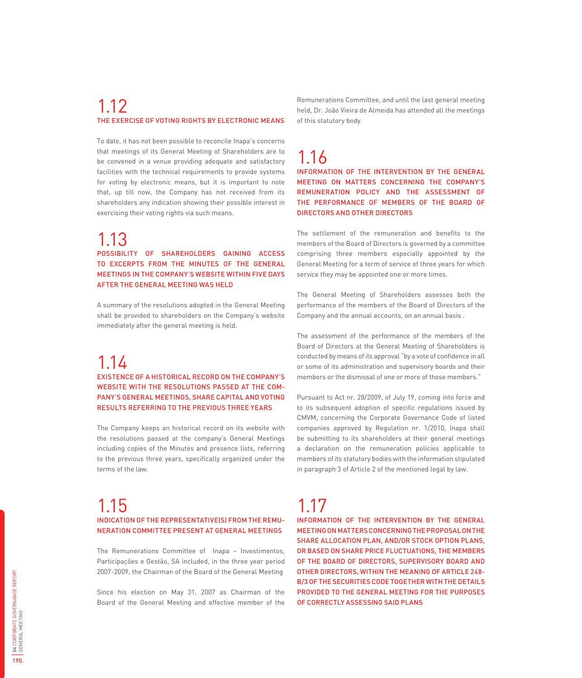## 1.12 The exercise of voting rights by electronic means

To date, it has not been possible to reconcile Inapa's concerns that meetings of its General Meeting of Shareholders are to be convened in a venue providing adequate and satisfactory facilities with the technical requirements to provide systems for voting by electronic means, but it is important to note that, up till now, the Company has not received from its shareholders any indication showing their possible interest in exercising their voting rights via such means.

# 1.13

Possibility of shareholders gaining access to excerpts from the Minutes of the General Meetings in the company's website within five days after the general meeting was held

A summary of the resolutions adopted in the General Meeting shall be provided to shareholders on the Company's website immediately after the general meeting is held.

# 1.14

Existence of a historical record on the company's website with the resolutions passed at the company's General Meetings, share capital and voting results referring to the previous three years

The Company keeps an historical record on its website with the resolutions passed at the company's General Meetings including copies of the Minutes and presence lists, referring to the previous three years, specifically organized under the terms of the law.

## 1.15

#### Indication of the representative(s) from the Remuneration Committee present at General Meetings

The Remunerations Committee of Inapa – Investimentos, Participações e Gestão, SA included, in the three year period 2007-2009, the Chairman of the Board of the General Meeting

Since his election on May 31, 2007 as Chairman of the Board of the General Meeting and effective member of the Remunerations Committee, and until the last general meeting held, Dr. João Vieira de Almeida has attended all the meetings of this statutory body.

1.16 Information of the intervention by the General Meeting on matters concerning the company's remuneration policy and the assessment of the performance of members of the Board of Directors and other Directors

The settlement of the remuneration and benefits to the members of the Board of Directors is governed by a committee comprising three members especially appointed by the General Meeting for a term of service of three years for which service they may be appointed one or more times.

The General Meeting of Shareholders assesses both the performance of the members of the Board of Directors of the Company and the annual accounts, on an annual basis .

The assessment of the performance of the members of the Board of Directors at the General Meeting of Shareholders is conducted by means of its approval "by a vote of confidence in all or some of its administration and supervisory boards and their members or the dismissal of one or more of those members."

Pursuant to Act nr. 28/2009, of July 19, coming into force and to its subsequent adoption of specific regulations issued by CMVM, concerning the Corporate Governance Code of listed companies approved by Regulation nr. 1/2010, Inapa shall be submitting to its shareholders at their general meetings a declaration on the remuneration policies applicable to members of its statutory bodies with the information stipulated in paragraph 3 of Article 2 of the mentioned legal by law.

# 1.17

Information of the intervention by the General Meeting on matters concerning the proposal on the share allocation plan, and/or stock option plans, or based on share price fluctuations, the members of the Board of Directors, Supervisory Board and other Directors, within the meaning of Article 248- B/3 of the Securities Code together with the details provided to the General Meeting for the purposes of correctly assessing said plans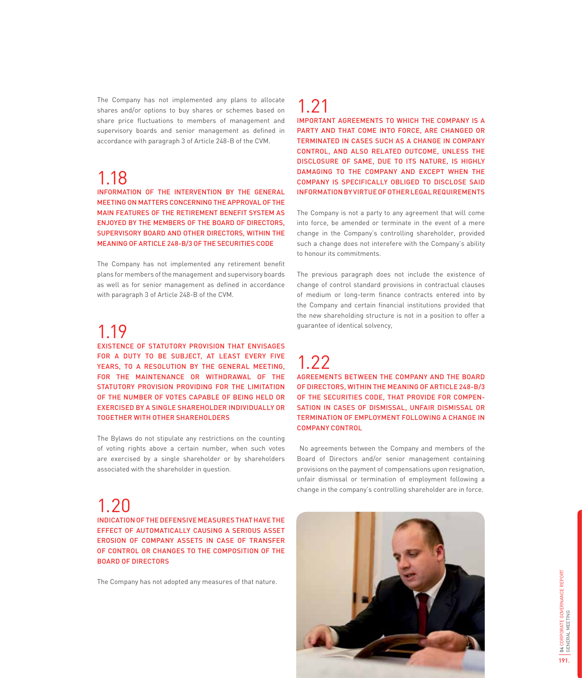The Company has not implemented any plans to allocate shares and/or options to buy shares or schemes based on share price fluctuations to members of management and supervisory boards and senior management as defined in accordance with paragraph 3 of Article 248-B of the CVM.

# 1.18

Information of the intervention by the General Meeting on matters concerning the approval of the main features of the retirement benefit system as enjoyed by the members of the Board of Directors, Supervisory Board and other Directors, within the meaning of Article 248-B/3 of the Securities Code

The Company has not implemented any retirement benefit plans for members of the management and supervisory boards as well as for senior management as defined in accordance with paragraph 3 of Article 248-B of the CVM.

# 1.19

Existence of statutory provision that envisages for a duty to be subject, at least every five years, to a resolution by the General Meeting, for the maintenance or withdrawal of the statutory provision providing for the limitation of the number of votes capable of being held or exercised by a single shareholder individually or together with other shareholders

The Bylaws do not stipulate any restrictions on the counting of voting rights above a certain number, when such votes are exercised by a single shareholder or by shareholders associated with the shareholder in question.

# 1.20

Indication of the defensive measures that have the effect of automatically causing a serious asset erosion of company assets in case of transfer of control or changes to the composition of the Board of Directors

The Company has not adopted any measures of that nature.

## 1.21

Important agreements to which the company is a party and that come into force, are changed or terminated in cases such as a change in company control, and also related outcome, unless the disclosure of same, due to its nature, is highly damaging to the company and except when the company is specifically obliged to disclose said information by virtue of other legal requirements

The Company is not a party to any agreement that will come into force, be amended or terminate in the event of a mere change in the Company's controlling shareholder, provided such a change does not interefere with the Company's ability to honour its commitments.

The previous paragraph does not include the existence of change of control standard provisions in contractual clauses of medium or long-term finance contracts entered into by the Company and certain financial institutions provided that the new shareholding structure is not in a position to offer a guarantee of identical solvency,

# 1.22

Agreements between the company and the Board of Directors, within the meaning of Article 248-B/3 of the Securities Code, that provide for compensation in cases of dismissal, unfair dismissal or termination of employment following a change in company control

No agreements between the Company and members of the Board of Directors and/or senior management containing provisions on the payment of compensations upon resignation, unfair dismissal or termination of employment following a change in the company's controlling shareholder are in force.

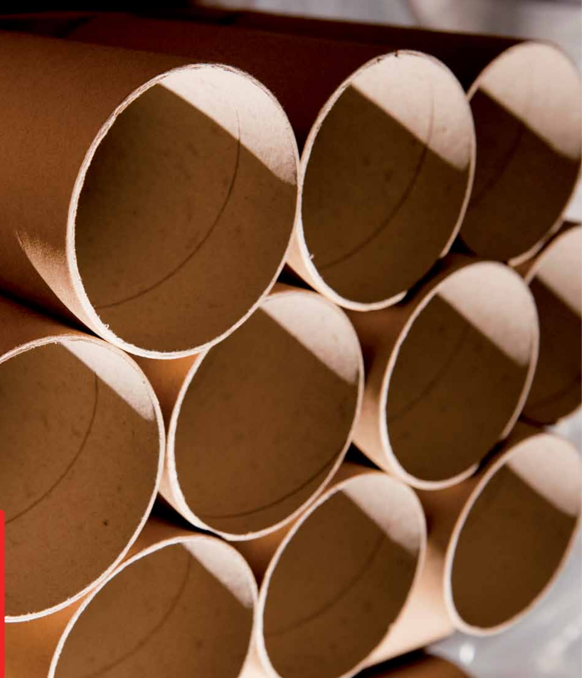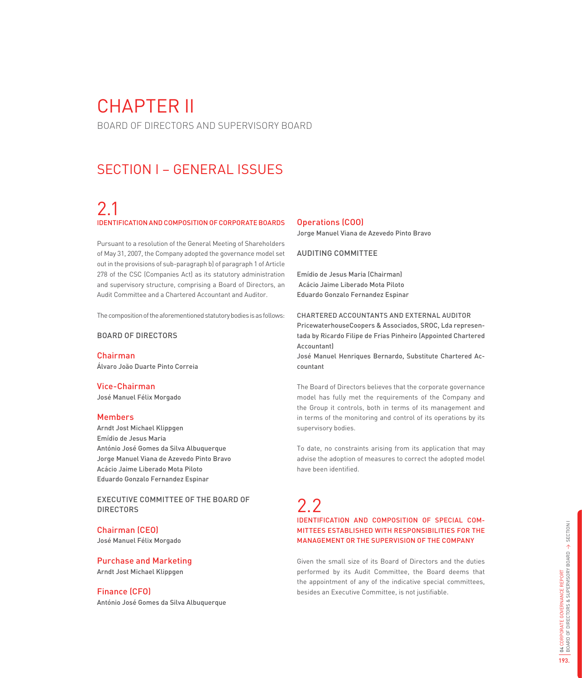# **CHAPTER II**

Board of Directors and Supervisory Board

## Section I – General Issues

## 2.1 IDENTIFICATION AND COMPOSITION OF CORPORATE BOARDS

Pursuant to a resolution of the General Meeting of Shareholders of May 31, 2007, the Company adopted the governance model set out in the provisions of sub-paragraph b) of paragraph 1 of Article 278 of the CSC (Companies Act) as its statutory administration and supervisory structure, comprising a Board of Directors, an Audit Committee and a Chartered Accountant and Auditor.

The composition of the aforementioned statutory bodies is as follows:

#### Board of Directors

Chairman Álvaro João Duarte Pinto Correia

#### Vice-Chairman

José Manuel Félix Morgado

#### Members

Arndt Jost Michael Klippgen Emídio de Jesus Maria António José Gomes da Silva Albuquerque Jorge Manuel Viana de Azevedo Pinto Bravo Acácio Jaime Liberado Mota Piloto Eduardo Gonzalo Fernandez Espinar

Executive Committee of the Board of **DIRECTORS** 

Chairman (CEO) José Manuel Félix Morgado

Purchase and Marketing Arndt Jost Michael Klippgen

#### Finance (CFO)

António José Gomes da Silva Albuquerque

#### Operations (COO) Jorge Manuel Viana de Azevedo Pinto Bravo

#### Auditing Committee

Emídio de Jesus Maria (Chairman) Acácio Jaime Liberado Mota Piloto Eduardo Gonzalo Fernandez Espinar

Chartered Accountants and external auditor PricewaterhouseCoopers & Associados, SROC, Lda representada by Ricardo Filipe de Frias Pinheiro (Appointed Chartered Accountant)

José Manuel Henriques Bernardo, Substitute Chartered Accountant

The Board of Directors believes that the corporate governance model has fully met the requirements of the Company and the Group it controls, both in terms of its management and in terms of the monitoring and control of its operations by its supervisory bodies.

To date, no constraints arising from its application that may advise the adoption of measures to correct the adopted model have been identified.

# 2.2

#### Identification and composition of special committees established with responsibilities for the management or the supervision of the company

Given the small size of its Board of Directors and the duties performed by its Audit Committee, the Board deems that the appointment of any of the indicative special committees, besides an Executive Committee, is not justifiable.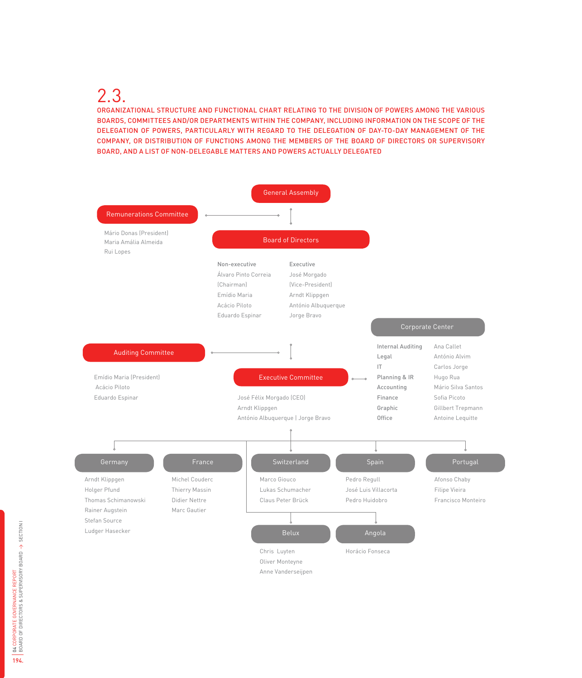# 2.3.

Organizational structure and functional chart relating to the division of powers among the various boards, committees and/or departments within the company, including information on the scope of the delegation of powers, particularly with regard to the delegation of day-to-day management of the company, or distribution of functions among the members of the Board of Directors or Supervisory Board, and a list of non-delegable matters and powers actually delegated

![](_page_24_Figure_2.jpeg)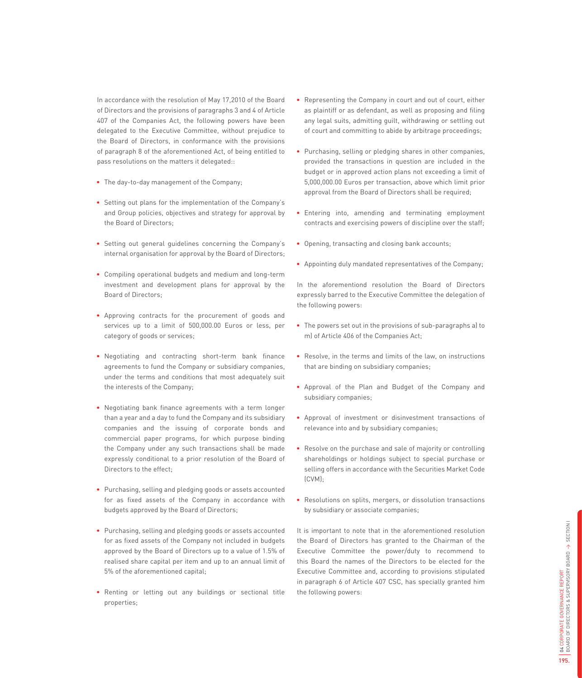In accordance with the resolution of May 17,2010 of the Board of Directors and the provisions of paragraphs 3 and 4 of Article 407 of the Companies Act, the following powers have been delegated to the Executive Committee, without prejudice to the Board of Directors, in conformance with the provisions of paragraph 8 of the aforementioned Act, of being entitled to pass resolutions on the matters it delegated::

- The day-to-day management of the Company; •
- Setting out plans for the implementation of the Company's and Group policies, objectives and strategy for approval by the Board of Directors;
- Setting out general guidelines concerning the Company's internal organisation for approval by the Board of Directors;
- Compiling operational budgets and medium and long-term investment and development plans for approval by the Board of Directors;
- Approving contracts for the procurement of goods and services up to a limit of 500,000.00 Euros or less, per category of goods or services;
- Negotiating and contracting short-term bank finance agreements to fund the Company or subsidiary companies, under the terms and conditions that most adequately suit the interests of the Company;
- Negotiating bank finance agreements with a term longer than a year and a day to fund the Company and its subsidiary companies and the issuing of corporate bonds and commercial paper programs, for which purpose binding the Company under any such transactions shall be made expressly conditional to a prior resolution of the Board of Directors to the effect;
- Purchasing, selling and pledging goods or assets accounted for as fixed assets of the Company in accordance with budgets approved by the Board of Directors;
- Purchasing, selling and pledging goods or assets accounted for as fixed assets of the Company not included in budgets approved by the Board of Directors up to a value of 1.5% of realised share capital per item and up to an annual limit of 5% of the aforementioned capital;
- Renting or letting out any buildings or sectional title properties;
- Representing the Company in court and out of court, either as plaintiff or as defendant, as well as proposing and filing any legal suits, admitting guilt, withdrawing or settling out of court and committing to abide by arbitrage proceedings;
- Purchasing, selling or pledging shares in other companies, provided the transactions in question are included in the budget or in approved action plans not exceeding a limit of 5,000,000.00 Euros per transaction, above which limit prior approval from the Board of Directors shall be required;
- Entering into, amending and terminating employment contracts and exercising powers of discipline over the staff;
- Opening, transacting and closing bank accounts;
- Appointing duly mandated representatives of the Company;

In the aforementiond resolution the Board of Directors expressly barred to the Executive Committee the delegation of the following powers:

- The powers set out in the provisions of sub-paragraphs a) to m) of Article 406 of the Companies Act;
- Resolve, in the terms and limits of the law, on instructions that are binding on subsidiary companies;
- Approval of the Plan and Budget of the Company and subsidiary companies;
- Approval of investment or disinvestment transactions of relevance into and by subsidiary companies;
- Resolve on the purchase and sale of majority or controlling shareholdings or holdings subject to special purchase or selling offers in accordance with the Securities Market Code (CVM);
- Resolutions on splits, mergers, or dissolution transactions by subsidiary or associate companies;

It is important to note that in the aforementioned resolution the Board of Directors has granted to the Chairman of the Executive Committee the power/duty to recommend to this Board the names of the Directors to be elected for the Executive Committee and, according to provisions stipulated in paragraph 6 of Article 407 CSC, has specially granted him the following powers: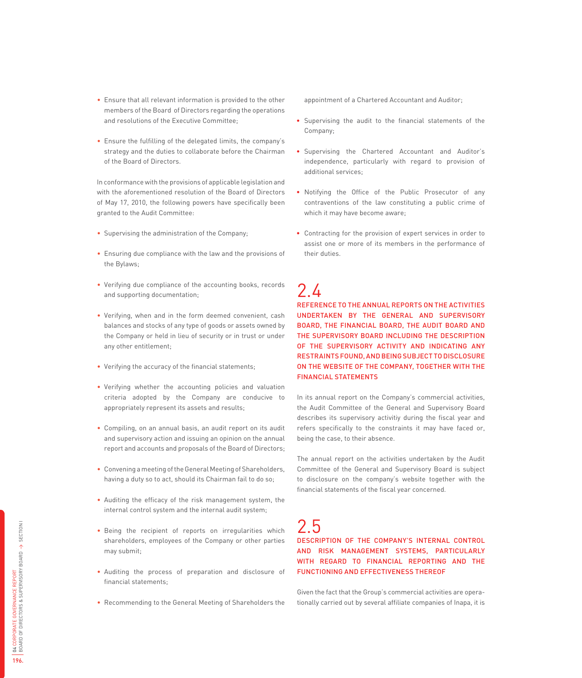- Ensure that all relevant information is provided to the other members of the Board of Directors regarding the operations and resolutions of the Executive Committee;
- Ensure the fulfilling of the delegated limits, the company's strategy and the duties to collaborate before the Chairman of the Board of Directors.

In conformance with the provisions of applicable legislation and with the aforementioned resolution of the Board of Directors of May 17, 2010, the following powers have specifically been granted to the Audit Committee:

- Supervising the administration of the Company;
- Ensuring due compliance with the law and the provisions of the Bylaws;
- Verifying due compliance of the accounting books, records and supporting documentation;
- Verifying, when and in the form deemed convenient, cash balances and stocks of any type of goods or assets owned by the Company or held in lieu of security or in trust or under any other entitlement;
- Verifying the accuracy of the financial statements; •
- Verifying whether the accounting policies and valuation criteria adopted by the Company are conducive to appropriately represent its assets and results;
- Compiling, on an annual basis, an audit report on its audit and supervisory action and issuing an opinion on the annual report and accounts and proposals of the Board of Directors;
- Convening a meeting of the General Meeting of Shareholders, having a duty so to act, should its Chairman fail to do so;
- Auditing the efficacy of the risk management system, the internal control system and the internal audit system;
- Being the recipient of reports on irregularities which shareholders, employees of the Company or other parties may submit;
- Auditing the process of preparation and disclosure of financial statements;
- Recommending to the General Meeting of Shareholders the •

appointment of a Chartered Accountant and Auditor;

- Supervising the audit to the financial statements of the Company;
- Supervising the Chartered Accountant and Auditor's independence, particularly with regard to provision of additional services;
- Notifying the Office of the Public Prosecutor of any contraventions of the law constituting a public crime of which it may have become aware;
- Contracting for the provision of expert services in order to •assist one or more of its members in the performance of their duties.

# 2.4

Reference to the annual reports on the activities undertaken by the General and Supervisory Board, the Financial Board, the Audit Board and the Supervisory Board including the description of the supervisory activity and indicating any RESTRAINTS FOUND, AND BEING SUBJECT TO DISCLOSURE on the website of the company, together with the financial statements

In its annual report on the Company's commercial activities, the Audit Committee of the General and Supervisory Board describes its supervisory activitiy during the fiscal year and refers specifically to the constraints it may have faced or, being the case, to their absence.

The annual report on the activities undertaken by the Audit Committee of the General and Supervisory Board is subject to disclosure on the company's website together with the financial statements of the fiscal year concerned.

# 2.5

Description of the company's internal control and risk management systems, particularly with regard to financial reporting and the functioning and effectiveness thereof

Given the fact that the Group's commercial activities are operationally carried out by several affiliate companies of Inapa, it is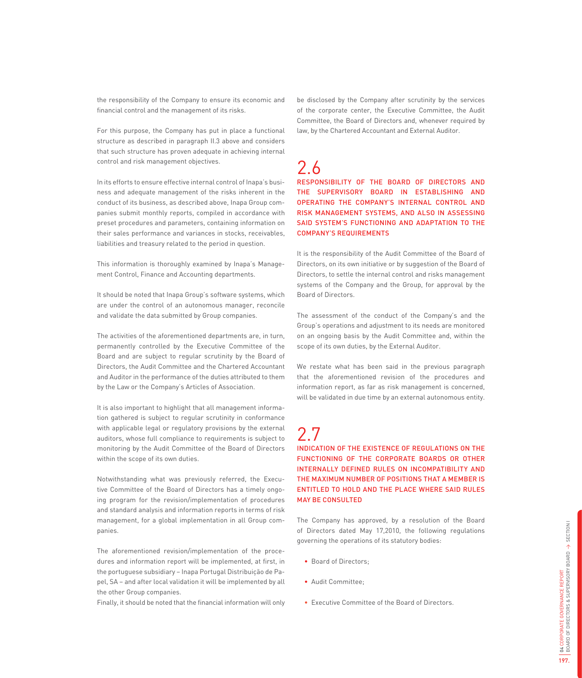the responsibility of the Company to ensure its economic and financial control and the management of its risks.

For this purpose, the Company has put in place a functional structure as described in paragraph II.3 above and considers that such structure has proven adequate in achieving internal control and risk management objectives.

In its efforts to ensure effective internal control of Inapa's business and adequate management of the risks inherent in the conduct of its business, as described above, Inapa Group companies submit monthly reports, compiled in accordance with preset procedures and parameters, containing information on their sales performance and variances in stocks, receivables, liabilities and treasury related to the period in question.

This information is thoroughly examined by Inapa's Management Control, Finance and Accounting departments.

It should be noted that Inapa Group's software systems, which are under the control of an autonomous manager, reconcile and validate the data submitted by Group companies.

The activities of the aforementioned departments are, in turn, permanently controlled by the Executive Committee of the Board and are subject to regular scrutinity by the Board of Directors, the Audit Committee and the Chartered Accountant and Auditor in the performance of the duties attributed to them by the Law or the Company's Articles of Association.

It is also important to highlight that all management information gathered is subject to regular scrutinity in conformance with applicable legal or regulatory provisions by the external auditors, whose full compliance to requirements is subject to monitoring by the Audit Committee of the Board of Directors within the scope of its own duties.

Notwithstanding what was previously referred, the Executive Committee of the Board of Directors has a timely ongoing program for the revision/implementation of procedures and standard analysis and information reports in terms of risk management, for a global implementation in all Group companies.

The aforementioned revision/implementation of the procedures and information report will be implemented, at first, in the portuguese subsidiary – Inapa Portugal Distribuição de Papel, SA – and after local validation it will be implemented by all the other Group companies.

Finally, it should be noted that the financial information will only

be disclosed by the Company after scrutinity by the services of the corporate center, the Executive Committee, the Audit Committee, the Board of Directors and, whenever required by law, by the Chartered Accountant and External Auditor.

# 2.6

Responsibility of the Board of Directors and the Supervisory Board in establishing and operating the company's internal control and risk management systems, and also in assessing said system's functioning and adaptation to the company's requirements

It is the responsibility of the Audit Committee of the Board of Directors, on its own initiative or by suggestion of the Board of Directors, to settle the internal control and risks management systems of the Company and the Group, for approval by the Board of Directors.

The assessment of the conduct of the Company's and the Group's operations and adjustment to its needs are monitored on an ongoing basis by the Audit Committee and, within the scope of its own duties, by the External Auditor.

We restate what has been said in the previous paragraph that the aforementioned revision of the procedures and information report, as far as risk management is concerned, will be validated in due time by an external autonomous entity.

# 2.7

Indication of the existence of regulations on the functioning of the corporate boards or other internally defined rules on incompatibility and the maximum number of positions that a member is entitled to hold and the place where said rules may be consulted

The Company has approved, by a resolution of the Board of Directors dated May 17,2010, the following regulations governing the operations of its statutory bodies:

- Board of Directors;
- Audit Committee;
- Executive Committee of the Board of Directors.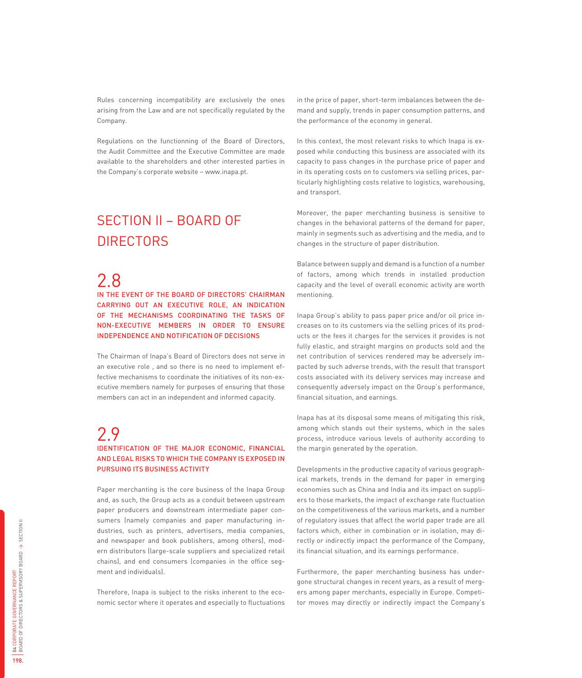Rules concerning incompatibility are exclusively the ones arising from the Law and are not specifically regulated by the Company.

Regulations on the functionning of the Board of Directors, the Audit Committee and the Executive Committee are made available to the shareholders and other interested parties in the Company's corporate website – www.inapa.pt.

## Section II – Board of **DIRECTORS**

# 2.8

In the event of the Board of Directors' Chairman carrying out an executive role, an indication of the mechanisms coordinating the tasks of non-executive members in order to ensure independence and notification of decisions

The Chairman of Inapa's Board of Directors does not serve in an executive role , and so there is no need to implement effective mechanisms to coordinate the initiatives of its non-executive members namely for purposes of ensuring that those members can act in an independent and informed capacity.

#### 2.9 Identification of the major economic, financial and legal risks to which the company is exposed in pursuing its business activity

Paper merchanting is the core business of the Inapa Group and, as such, the Group acts as a conduit between upstream paper producers and downstream intermediate paper consumers (namely companies and paper manufacturing industries, such as printers, advertisers, media companies, and newspaper and book publishers, among others), modern distributors (large-scale suppliers and specialized retail chains), and end consumers (companies in the office segment and individuals).

Therefore, Inapa is subject to the risks inherent to the economic sector where it operates and especially to fluctuations in the price of paper, short-term imbalances between the demand and supply, trends in paper consumption patterns, and the performance of the economy in general.

In this context, the most relevant risks to which Inapa is exposed while conducting this business are associated with its capacity to pass changes in the purchase price of paper and in its operating costs on to customers via selling prices, particularly highlighting costs relative to logistics, warehousing, and transport.

Moreover, the paper merchanting business is sensitive to changes in the behavioral patterns of the demand for paper, mainly in segments such as advertising and the media, and to changes in the structure of paper distribution.

Balance between supply and demand is a function of a number of factors, among which trends in installed production capacity and the level of overall economic activity are worth mentioning.

Inapa Group's ability to pass paper price and/or oil price increases on to its customers via the selling prices of its products or the fees it charges for the services it provides is not fully elastic, and straight margins on products sold and the net contribution of services rendered may be adversely impacted by such adverse trends, with the result that transport costs associated with its delivery services may increase and consequently adversely impact on the Group's performance, financial situation, and earnings.

Inapa has at its disposal some means of mitigating this risk, among which stands out their systems, which in the sales process, introduce various levels of authority according to the margin generated by the operation.

Developments in the productive capacity of various geographical markets, trends in the demand for paper in emerging economies such as China and India and its impact on suppliers to those markets, the impact of exchange rate fluctuation on the competitiveness of the various markets, and a number of regulatory issues that affect the world paper trade are all factors which, either in combination or in isolation, may directly or indirectly impact the performance of the Company, its financial situation, and its earnings performance.

Furthermore, the paper merchanting business has undergone structural changes in recent years, as a result of mergers among paper merchants, especially in Europe. Competitor moves may directly or indirectly impact the Company's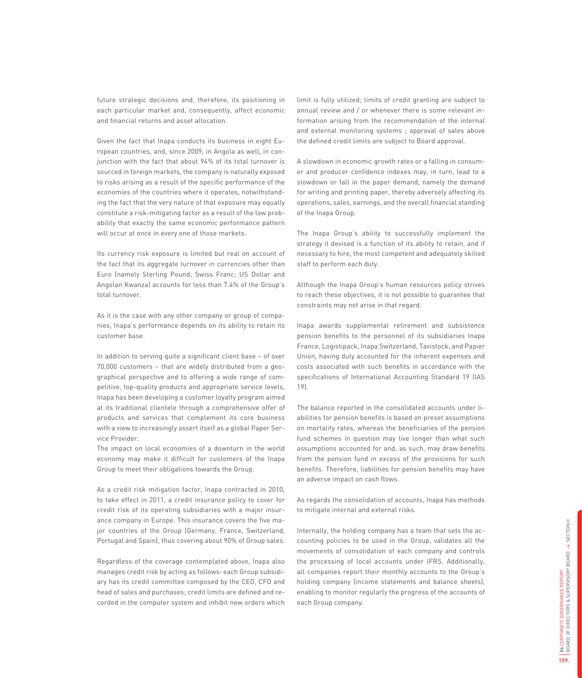future strategic decisions and, therefore, its positioning in each particular market and, consequently, affect economic and financial returns and asset allocation.

Given the fact that Inapa conducts its business in eight European countries, and, since 2009, in Angola as well, in conjunction with the fact that about 94% of its total turnover is sourced in foreign markets, the company is naturally exposed to risks arising as a result of the specific performance of the economies of the countries where it operates, notwithstanding the fact that the very nature of that exposure may equally constitute a risk-mitigating factor as a result of the low probability that exactly the same economic performance pattern will occur at once in every one of those markets.

Its currency risk exposure is limited but real on account of the fact that its aggregate turnover in currencies other than Euro (namely Sterling Pound; Swiss Franc; US Dollar and Angolan Kwanza) accounts for less than 7.4% of the Group's total turnover.

As it is the case with any other company or group of companies, Inapa's performance depends on its ability to retain its customer base.

In addition to serving quite a significant client base – of over 70,000 customers – that are widely distributed from a geographical perspective and to offering a wide range of competitive, top-quality products and appropriate service levels, Inapa has been developing a customer loyalty program aimed at its traditional clientele through a comprehensive offer of products and services that complement its core business with a view to increasingly assert itself as a global Paper Service Provider.

The impact on local economies of a downturn in the world economy may make it difficult for customers of the Inapa Group to meet their obligations towards the Group.

As a credit risk mitigation factor, Inapa contracted in 2010, to take effect in 2011, a credit insurance policy to cover for credit risk of its operating subsidiaries with a major insurance company in Europe. This insurance covers the five major countries of the Group (Germany, France, Switzerland, Portugal and Spain), thus covering about 90% of Group sales.

Regardless of the coverage contemplated above, Inapa also manages credit risk by acting as follows: each Group subsidiary has its credit committee composed by the CEO, CFO and head of sales and purchases; credit limits are defined and recorded in the computer system and inhibit new orders which limit is fully utilized; limits of credit granting are subject to annual review and / or whenever there is some relevant information arising from the recommendation of the internal and external monitoring systems ; approval of sales above the defined credit limits are subject to Board approval.

A slowdown in economic growth rates or a falling in consumer and producer confidence indexes may, in turn, lead to a slowdown or fall in the paper demand, namely the demand for writing and printing paper, thereby adversely affecting its operations, sales, earnings, and the overall financial standing of the Inapa Group.

The Inapa Group's ability to successfully implement the strategy it devised is a function of its ability to retain, and if necessary to hire, the most competent and adequately skilled staff to perform each duty.

Although the Inapa Group's human resources policy strives to reach these objectives, it is not possible to guarantee that constraints may not arise in that regard.

Inapa awards supplemental retirement and subsistence pension benefits to the personnel of its subsidiaries Inapa France, Logistipack, Inapa Switzerland, Tavistock, and Papier Union, having duly accounted for the inherent expenses and costs associated with such benefits in accordance with the specifications of International Accounting Standard 19 (IAS 19).

The balance reported in the consolidated accounts under liabilities for pension benefits is based on preset assumptions on mortality rates, whereas the beneficiaries of the pension fund schemes in question may live longer than what such assumptions accounted for and, as such, may draw benefits from the pension fund in excess of the provisions for such benefits. Therefore, liabilities for pension benefits may have an adverse impact on cash flows.

As regards the consolidation of accounts, Inapa has methods to mitigate internal and external risks.

Internally, the holding company has a team that sets the accounting policies to be used in the Group, validates all the movements of consolidation of each company and controls the processing of local accounts under IFRS. Additionally, all companies report their monthly accounts to the Group's holding company (income statements and balance sheets), enabling to monitor regularly the progress of the accounts of each Group company.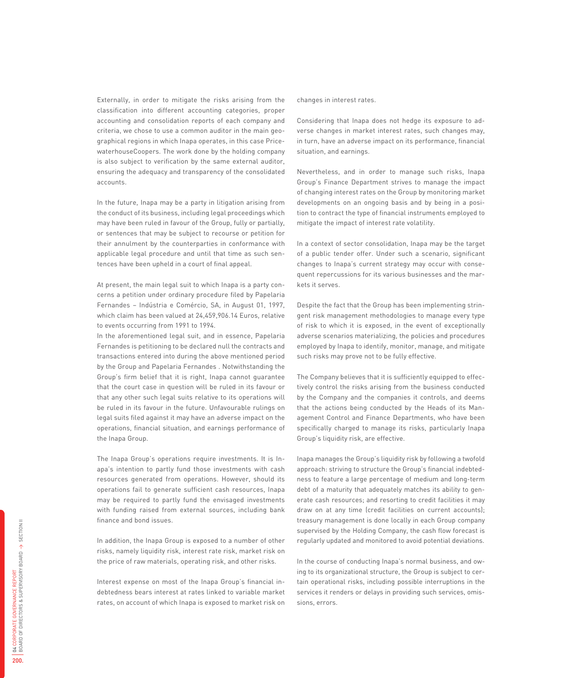Externally, in order to mitigate the risks arising from the classification into different accounting categories, proper accounting and consolidation reports of each company and criteria, we chose to use a common auditor in the main geographical regions in which Inapa operates, in this case PricewaterhouseCoopers. The work done by the holding company is also subject to verification by the same external auditor, ensuring the adequacy and transparency of the consolidated accounts.

In the future, Inapa may be a party in litigation arising from the conduct of its business, including legal proceedings which may have been ruled in favour of the Group, fully or partially, or sentences that may be subject to recourse or petition for their annulment by the counterparties in conformance with applicable legal procedure and until that time as such sentences have been upheld in a court of final appeal.

At present, the main legal suit to which Inapa is a party concerns a petition under ordinary procedure filed by Papelaria Fernandes – Indústria e Comércio, SA, in August 01, 1997, which claim has been valued at 24,459,906.14 Euros, relative to events occurring from 1991 to 1994.

In the aforementioned legal suit, and in essence, Papelaria Fernandes is petitioning to be declared null the contracts and transactions entered into during the above mentioned period by the Group and Papelaria Fernandes . Notwithstanding the Group's firm belief that it is right, Inapa cannot guarantee that the court case in question will be ruled in its favour or that any other such legal suits relative to its operations will be ruled in its favour in the future. Unfavourable rulings on legal suits filed against it may have an adverse impact on the operations, financial situation, and earnings performance of the Inapa Group.

The Inapa Group's operations require investments. It is Inapa's intention to partly fund those investments with cash resources generated from operations. However, should its operations fail to generate sufficient cash resources, Inapa may be required to partly fund the envisaged investments with funding raised from external sources, including bank finance and bond issues.

In addition, the Inapa Group is exposed to a number of other risks, namely liquidity risk, interest rate risk, market risk on the price of raw materials, operating risk, and other risks.

Interest expense on most of the Inapa Group's financial indebtedness bears interest at rates linked to variable market rates, on account of which Inapa is exposed to market risk on changes in interest rates.

Considering that Inapa does not hedge its exposure to adverse changes in market interest rates, such changes may, in turn, have an adverse impact on its performance, financial situation, and earnings.

Nevertheless, and in order to manage such risks, Inapa Group's Finance Department strives to manage the impact of changing interest rates on the Group by monitoring market developments on an ongoing basis and by being in a position to contract the type of financial instruments employed to mitigate the impact of interest rate volatility.

In a context of sector consolidation, Inapa may be the target of a public tender offer. Under such a scenario, significant changes to Inapa's current strategy may occur with consequent repercussions for its various businesses and the markets it serves.

Despite the fact that the Group has been implementing stringent risk management methodologies to manage every type of risk to which it is exposed, in the event of exceptionally adverse scenarios materializing, the policies and procedures employed by Inapa to identify, monitor, manage, and mitigate such risks may prove not to be fully effective.

The Company believes that it is sufficiently equipped to effectively control the risks arising from the business conducted by the Company and the companies it controls, and deems that the actions being conducted by the Heads of its Management Control and Finance Departments, who have been specifically charged to manage its risks, particularly Inapa Group's liquidity risk, are effective.

Inapa manages the Group's liquidity risk by following a twofold approach: striving to structure the Group's financial indebtedness to feature a large percentage of medium and long-term debt of a maturity that adequately matches its ability to generate cash resources; and resorting to credit facilities it may draw on at any time (credit facilities on current accounts); treasury management is done locally in each Group company supervised by the Holding Company, the cash flow forecast is regularly updated and monitored to avoid potential deviations.

In the course of conducting Inapa's normal business, and owing to its organizational structure, the Group is subject to certain operational risks, including possible interruptions in the services it renders or delays in providing such services, omissions, errors.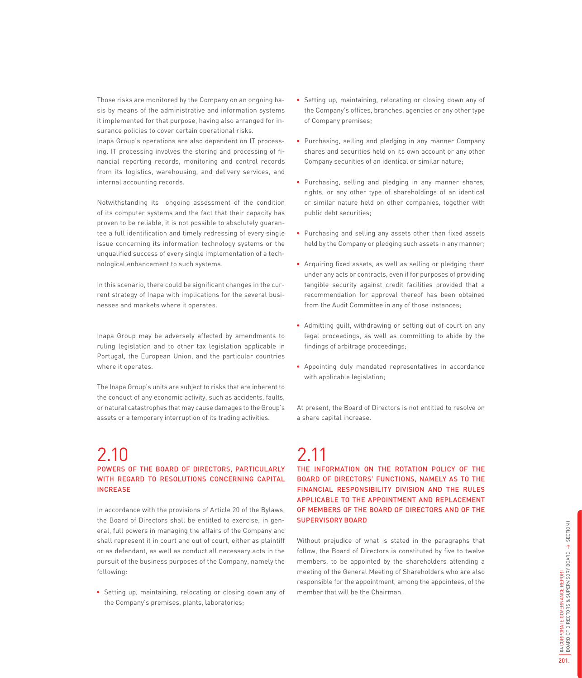Those risks are monitored by the Company on an ongoing basis by means of the administrative and information systems it implemented for that purpose, having also arranged for insurance policies to cover certain operational risks.

Inapa Group's operations are also dependent on IT processing. IT processing involves the storing and processing of financial reporting records, monitoring and control records from its logistics, warehousing, and delivery services, and internal accounting records.

Notwithstanding its ongoing assessment of the condition of its computer systems and the fact that their capacity has proven to be reliable, it is not possible to absolutely guarantee a full identification and timely redressing of every single issue concerning its information technology systems or the unqualified success of every single implementation of a technological enhancement to such systems.

In this scenario, there could be significant changes in the current strategy of Inapa with implications for the several businesses and markets where it operates.

Inapa Group may be adversely affected by amendments to ruling legislation and to other tax legislation applicable in Portugal, the European Union, and the particular countries where it operates.

The Inapa Group's units are subject to risks that are inherent to the conduct of any economic activity, such as accidents, faults, or natural catastrophes that may cause damages to the Group's assets or a temporary interruption of its trading activities.

# 2.10

#### powers of the board of directors, particularly WITH REGARD TO RESOLUTIONS CONCERNING CAPITAL **INCREASE**

In accordance with the provisions of Article 20 of the Bylaws, the Board of Directors shall be entitled to exercise, in general, full powers in managing the affairs of the Company and shall represent it in court and out of court, either as plaintiff or as defendant, as well as conduct all necessary acts in the pursuit of the business purposes of the Company, namely the following:

• Setting up, maintaining, relocating or closing down any of the Company's premises, plants, laboratories;

- Setting up, maintaining, relocating or closing down any of the Company's offices, branches, agencies or any other type of Company premises;
- Purchasing, selling and pledging in any manner Company shares and securities held on its own account or any other Company securities of an identical or similar nature;
- Purchasing, selling and pledging in any manner shares, rights, or any other type of shareholdings of an identical or similar nature held on other companies, together with public debt securities;
- Purchasing and selling any assets other than fixed assets held by the Company or pledging such assets in any manner;
- Acquiring fixed assets, as well as selling or pledging them under any acts or contracts, even if for purposes of providing tangible security against credit facilities provided that a recommendation for approval thereof has been obtained from the Audit Committee in any of those instances;
- Admitting guilt, withdrawing or setting out of court on any legal proceedings, as well as committing to abide by the findings of arbitrage proceedings;
- Appointing duly mandated representatives in accordance with applicable legislation;

At present, the Board of Directors is not entitled to resolve on a share capital increase.

# 2.11

The information on the rotation policy of the Board of Directors' functions, namely as to the financial responsibility division and the rules applicable to the appointment and replacement of members of the board of directors and of the supervisory board

Without prejudice of what is stated in the paragraphs that follow, the Board of Directors is constituted by five to twelve members, to be appointed by the shareholders attending a meeting of the General Meeting of Shareholders who are also responsible for the appointment, among the appointees, of the member that will be the Chairman.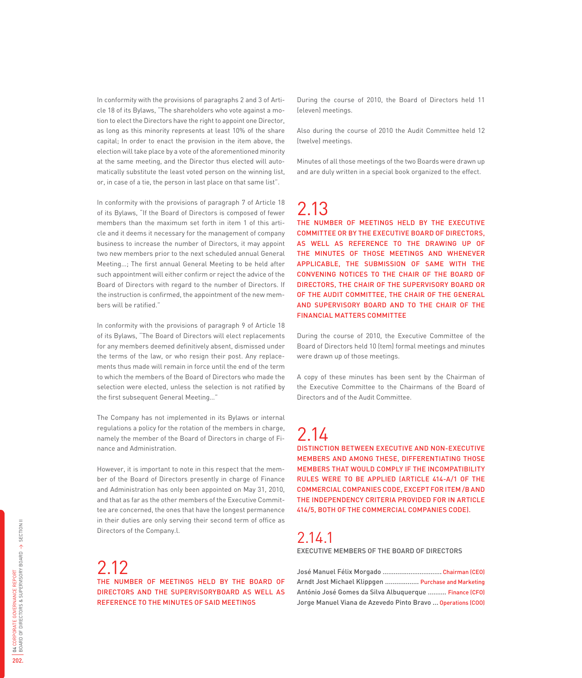In conformity with the provisions of paragraphs 2 and 3 of Article 18 of its Bylaws, "The shareholders who vote against a motion to elect the Directors have the right to appoint one Director, as long as this minority represents at least 10% of the share capital; In order to enact the provision in the item above, the election will take place by a vote of the aforementioned minority at the same meeting, and the Director thus elected will automatically substitute the least voted person on the winning list, or, in case of a tie, the person in last place on that same list".

In conformity with the provisions of paragraph 7 of Article 18 of its Bylaws, "If the Board of Directors is composed of fewer members than the maximum set forth in item 1 of this article and it deems it necessary for the management of company business to increase the number of Directors, it may appoint two new members prior to the next scheduled annual General Meeting…; The first annual General Meeting to be held after such appointment will either confirm or reject the advice of the Board of Directors with regard to the number of Directors. If the instruction is confirmed, the appointment of the new members will be ratified."

In conformity with the provisions of paragraph 9 of Article 18 of its Bylaws, "The Board of Directors will elect replacements for any members deemed definitively absent, dismissed under the terms of the law, or who resign their post. Any replacements thus made will remain in force until the end of the term to which the members of the Board of Directors who made the selection were elected, unless the selection is not ratified by the first subsequent General Meeting…"

The Company has not implemented in its Bylaws or internal regulations a policy for the rotation of the members in charge, namely the member of the Board of Directors in charge of Finance and Administration.

However, it is important to note in this respect that the member of the Board of Directors presently in charge of Finance and Administration has only been appointed on May 31, 2010, and that as far as the other members of the Executive Committee are concerned, the ones that have the longest permanence in their duties are only serving their second term of office as Directors of the Company.l.

## 2.12 The number of meetings held by the board of

directors and the supervisoryboard as well as reference to the minutes of said meetings

During the course of 2010, the Board of Directors held 11 (eleven) meetings.

Also during the course of 2010 the Audit Committee held 12 (twelve) meetings.

Minutes of all those meetings of the two Boards were drawn up and are duly written in a special book organized to the effect.

# 2.13

The number of meetings held by the Executive Committee or by the Executive Board of Directors, as well as reference to the drawing up of the minutes of those meetings and whenever applicable, the submission of same with the convening notices to the Chair of the Board of Directors, the Chair of the Supervisory Board or of the Audit Committee, the Chair of the General and Supervisory Board and to the Chair of the Financial Matters Committee

During the course of 2010, the Executive Committee of the Board of Directors held 10 (tem) formal meetings and minutes were drawn up of those meetings.

A copy of these minutes has been sent by the Chairman of the Executive Committee to the Chairmans of the Board of Directors and of the Audit Committee.

# 2.14

Distinction between executive and non-executive members and among these, differentiating those members that would comply if the incompatibility rules were to be applied (Article 414-A/1 of the Commercial Companies Code, except for item /b and the independency criteria provided for in article 414/5, both of the Commercial Companies Code).

#### 2.14.1

Executive members of the Board of Directors

José Manuel Félix Morgado ………....………………. Chairman (CEO) Arndt Jost Michael Klippgen ..…........….. Purchase and Marketing António José Gomes da Silva Albuquerque ….…… Finance (CFO) Jorge Manuel Viana de Azevedo Pinto Bravo ... Operations (COO)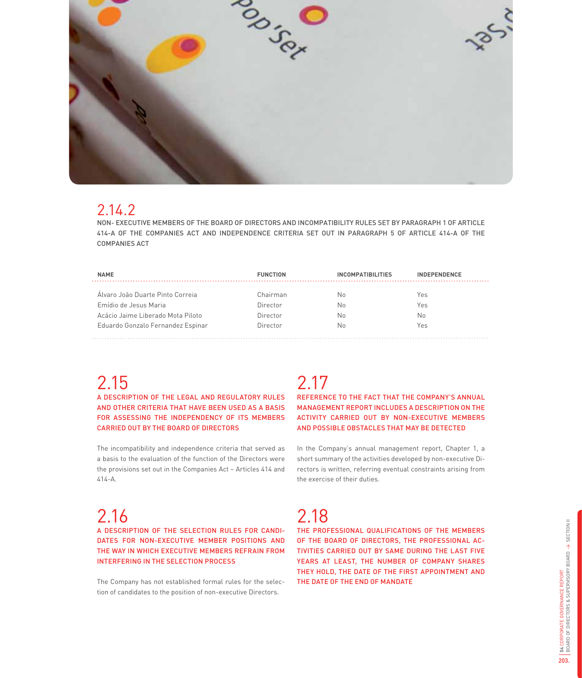![](_page_33_Picture_0.jpeg)

## 2.14.2

Non- executive members of the Board of Directors and incompatibility rules set by paragraph 1 of Article 414-A of the Companies Act and independence criteria set out in paragraph 5 of Article 414-A of the Companies Act

|     | <b>INDEPENDENCE</b>      |
|-----|--------------------------|
| No. | Yes                      |
| No  | Yes                      |
| Νo  | No.                      |
| Νo  | Yes                      |
|     | <b>INCOMPATIBILITIES</b> |

# 2.15

A description of the legal and regulatory rules and other criteria that have been used as a basis for assessing the independency of its members carried out by the board of directors

The incompatibility and independence criteria that served as a basis to the evaluation of the function of the Directors were the provisions set out in the Companies Act – Articles 414 and 414-A.

# 2.16

A description of the selection rules for candidates for non-executive member positions and the way in which executive members refrain from interfering in the selection process

The Company has not established formal rules for the selection of candidates to the position of non-executive Directors.

# 2.17

Reference to the fact that the company's annual management report includes a description on the activity carried out by non-executive members and possible obstacles that may be detected

In the Company's annual management report, Chapter 1, a short summary of the activities developed by non-executive Directors is written, referring eventual constraints arising from the exercise of their duties.

# 2.18

The professional qualifications of the members of the board of directors, the professional activities carried out by same during the last five years at least, the number of company shares they hold, the date of the first appointment and the date of the end of mandate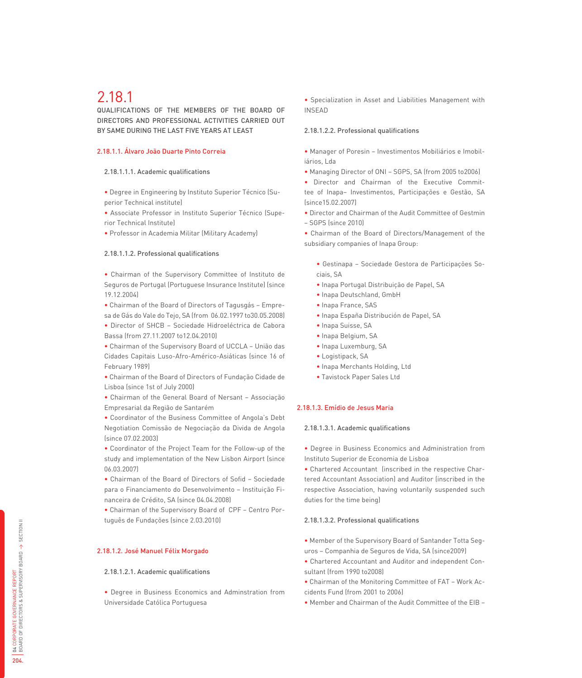## 2.18.1

Qualifications of the members of the Board of Directors and Professional activities carried out by same during the last five years at least

#### 2.18.1.1. Álvaro João Duarte Pinto Correia

#### 2.18.1.1.1. Academic qualifications

• Degree in Engineering by Instituto Superior Técnico (Superior Technical institute)

• Associate Professor in Instituto Superior Técnico (Superior Technical Institute)

• Professor in Academia Militar (Military Academy)

#### 2.18.1.1.2. Professional qualifications

• Chairman of the Supervisory Committee of Instituto de Seguros de Portugal (Portuguese Insurance Institute) (since 19.12.2004)

• Chairman of the Board of Directors of Tagusgás – Empre-

sa de Gás do Vale do Tejo, SA (from 06.02.1997 to30.05.2008) • Director of SHCB – Sociedade Hidroeléctrica de Cabora

Bassa (from 27.11.2007 to12.04.2010)

• Chairman of the Supervisory Board of UCCLA – União das Cidades Capitais Luso-Afro-Américo-Asiáticas (since 16 of February 1989)

• Chairman of the Board of Directors of Fundação Cidade de Lisboa (since 1st of July 2000)

• Chairman of the General Board of Nersant – Associação Empresarial da Região de Santarém

• Coordinator of the Business Committee of Angola's Debt Negotiation Comissão de Negociação da Divida de Angola (since 07.02.2003)

• Coordinator of the Project Team for the Follow-up of the study and implementation of the New Lisbon Airport (since 06.03.2007)

• Chairman of the Board of Directors of Sofid – Sociedade para o Financiamento do Desenvolvimento – Instituição Financeira de Crédito, SA (since 04.04.2008)

• Chairman of the Supervisory Board of CPF – Centro Português de Fundações (since 2.03.2010)

#### 2.18.1.2. José Manuel Félix Morgado

#### 2.18.1.2.1. Academic qualifications

• Degree in Business Economics and Adminstration from Universidade Católica Portuguesa

• Specialization in Asset and Liabilities Management with INSEAD

#### 2.18.1.2.2. Professional qualifications

• Manager of Poresin – Investimentos Mobiliários e Imobiliários, Lda

• Managing Director of ONI – SGPS, SA (from 2005 to2006)

• Director and Chairman of the Executive Committee of Inapa– Investimentos, Participações e Gestão, SA (since15.02.2007)

• Director and Chairman of the Audit Committee of Gestmin – SGPS (since 2010)

• Chairman of the Board of Directors/Management of the subsidiary companies of Inapa Group:

- Gestinapa Sociedade Gestora de Participações Sociais, SA
- Inapa Portugal Distribuição de Papel, SA
- Inapa Deutschland, GmbH
- Inapa France, SAS
- Inapa España Distribución de Papel, SA
- Inapa Suisse, SA
- Inapa Belgium, SA
- Inapa Luxemburg, SA
- Logistipack, SA
- Inapa Merchants Holding, Ltd
- Tavistock Paper Sales Ltd

#### 2.18.1.3. Emídio de Jesus Maria

#### 2.18.1.3.1. Academic qualifications

• Degree in Business Economics and Administration from Instituto Superior de Economia de Lisboa

• Chartered Accountant (inscribed in the respective Chartered Accountant Association) and Auditor (inscribed in the respective Association, having voluntarily suspended such duties for the time being)

#### 2.18.1.3.2. Professional qualifications

- Member of the Supervisory Board of Santander Totta Seguros – Companhia de Seguros de Vida, SA (since2009)
- Chartered Accountant and Auditor and independent Consultant (from 1990 to2008)
- Chairman of the Monitoring Committee of FAT Work Accidents Fund (from 2001 to 2006)
- Member and Chairman of the Audit Committee of the EIB –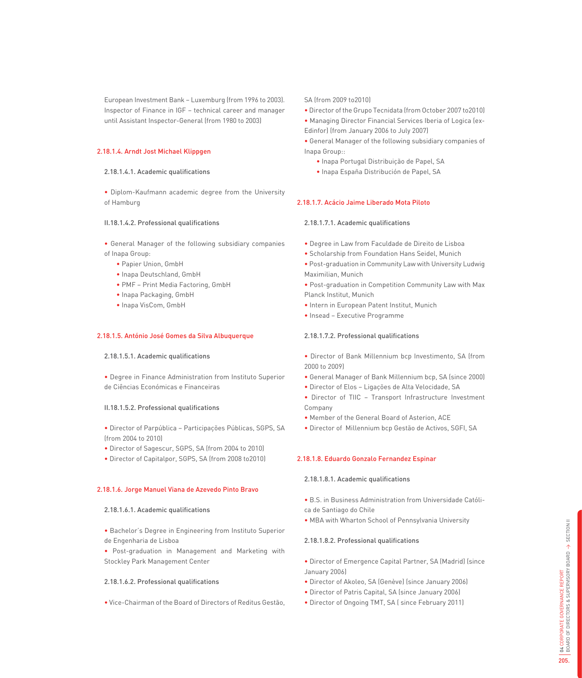European Investment Bank – Luxemburg (from 1996 to 2003). Inspector of Finance in IGF – technical career and manager until Assistant Inspector-General (from 1980 to 2003)

#### 2.18.1.4. Arndt Jost Michael Klippgen

#### 2.18.1.4.1. Academic qualifications

• Diplom-Kaufmann academic degree from the University of Hamburg

#### II.18.1.4.2. Professional qualifications

• General Manager of the following subsidiary companies of Inapa Group:

- Papier Union, GmbH
- Inapa Deutschland, GmbH
- PMF Print Media Factoring, GmbH
- Inapa Packaging, GmbH
- Inapa VisCom, GmbH

#### 2.18.1.5. António José Gomes da Silva Albuquerque

#### 2.18.1.5.1. Academic qualifications

• Degree in Finance Administration from Instituto Superior de Ciências Económicas e Financeiras

#### II.18.1.5.2. Professional qualifications

• Director of Parpública – Participações Públicas, SGPS, SA (from 2004 to 2010)

- Director of Sagescur, SGPS, SA (from 2004 to 2010)
- Director of Capitalpor, SGPS, SA (from 2008 to2010)

#### 2.18.1.6. Jorge Manuel Viana de Azevedo Pinto Bravo

#### 2.18.1.6.1. Academic qualifications

• Bachelor's Degree in Engineering from Instituto Superior de Engenharia de Lisboa

• Post-graduation in Management and Marketing with Stockley Park Management Center

#### 2.18.1.6.2. Professional qualifications

• Vice-Chairman of the Board of Directors of Reditus Gestão,

#### SA (from 2009 to2010)

- Director of the Grupo Tecnidata (from October 2007 to2010)
- Managing Director Financial Services Iberia of Logica (ex-Edinfor) (from January 2006 to July 2007)
- General Manager of the following subsidiary companies of Inapa Group::
	- Inapa Portugal Distribuição de Papel, SA
	- Inapa España Distribución de Papel, SA

#### 2.18.1.7. Acácio Jaime Liberado Mota Piloto

#### 2.18.1.7.1. Academic qualifications

- Degree in Law from Faculdade de Direito de Lisboa
- Scholarship from Foundation Hans Seidel, Munich
- Post-graduation in Community Law with University Ludwig Maximilian, Munich
- Post-graduation in Competition Community Law with Max Planck Institut, Munich
- Intern in European Patent Institut, Munich
- Insead Executive Programme

#### 2.18.1.7.2. Professional qualifications

- Director of Bank Millennium bcp Investimento, SA (from 2000 to 2009)
- General Manager of Bank Millennium bcp, SA (since 2000)
- Director of Elos Ligações de Alta Velocidade, SA
- Director of TIIC Transport Infrastructure Investment Company
- Member of the General Board of Asterion, ACE
- Director of Millennium bcp Gestão de Activos, SGFI, SA

#### 2.18.1.8. Eduardo Gonzalo Fernandez Espinar

#### 2.18.1.8.1. Academic qualifications

- B.S. in Business Administration from Universidade Católica de Santiago do Chile
- MBA with Wharton School of Pennsylvania University

#### 2.18.1.8.2. Professional qualifications

- Director of Emergence Capital Partner, SA (Madrid) (since January 2006)
- Director of Akoleo, SA (Genève) (since January 2006)
- Director of Patris Capital, SA (since January 2006)
- Director of Ongoing TMT, SA ( since February 2011)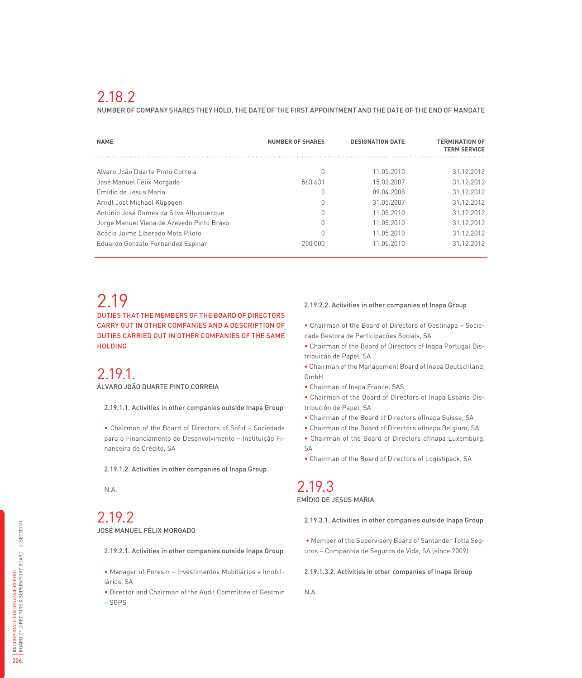## 2.18.2

number of company shares they hold, the date of the first appointment and the date of the end of mandate

| <b>NAME</b>                               | <b>NUMBER OF SHARES</b> | <b>DESIGNATION DATE</b> | <b>TERMINATION OF</b><br><b>TERM SERVICE</b> |
|-------------------------------------------|-------------------------|-------------------------|----------------------------------------------|
| Álvaro João Duarte Pinto Correia          | 0                       | 11 05 2010              | 31.12.2012                                   |
| José Manuel Félix Morgado                 | 563 631                 | 15.02.2007              | 31.12.2012                                   |
| Emídio de Jesus Maria                     | 0                       | 09 04 2008              | 31.12.2012                                   |
| Arndt Jost Michael Klippgen               | 0                       | 31.05.2007              | 31.12.2012                                   |
| António José Gomes da Silva Albuguerque   | 0                       | 11.05.2010              | 31.12.2012                                   |
| Jorge Manuel Viana de Azevedo Pinto Bravo | 0                       | 11.05.2010              | 31.12.2012                                   |
| Acácio Jaime Liberado Mota Piloto         | 0                       | 11.05.2010              | 31.12.2012                                   |
| Eduardo Gonzalo Fernandez Espinar         | 200,000                 | 11 05 2010              | 31.12.2012                                   |

# 2.19

Duties that the members of the board of directors carry out in other companies and a description of duties carried out in other companies of the same **HOLDING** 

## 2.19.1.

Álvaro João Duarte Pinto Correia

2.19.1.1. Activities in other companies outside Inapa Group

2.19.1.2. Activities in other companies of Inapa Group

N.A.

## 2.19.2

José Manuel Félix Morgado

2.19.2.1. Activities in other companies outside Inapa Group

- Manager of Poresin Investimentos Mobiliários e Imobiliários, SA
- Director and Chairman of the Audit Committee of Gestmin – SGPS

#### 2.19.2.2. Activities in other companies of Inapa Group

• Chairman of the Board of Directors of Gestinapa – Sociedade Gestora de Participações Sociais, SA

- Chairman of the Board of Directors of Inapa Portugal Distribuição de Papel, SA
- Chairman of the Management Board of Inapa Deutschland, GmbH
- Chairman of Inapa France, SAS
- Chairman of the Board of Directors of Inapa España Distribución de Papel, SA
- Chairman of the Board of Directors ofInapa Suisse, SA
- Chairman of the Board of Directors ofInapa Belgium, SA
- Chairman of the Board of Directors ofInapa Luxemburg, SA
- Chairman of the Board of Directors of Logistipack, SA

## 2.19.3

Emídio de Jesus Maria

2.19.3.1. Activities in other companies outside Inapa Group

• Member of the Supervisory Board of Santander Totta Seguros – Companhia de Seguros de Vida, SA (since 2009)

2.19.1.3.2. Activities in other companies of Inapa Group

N.A.

<sup>•</sup> Chairman of the Board of Directors of Sofid – Sociedade para o Financiamento do Desenvolvimento – Instituição Financeira de Crédito, SA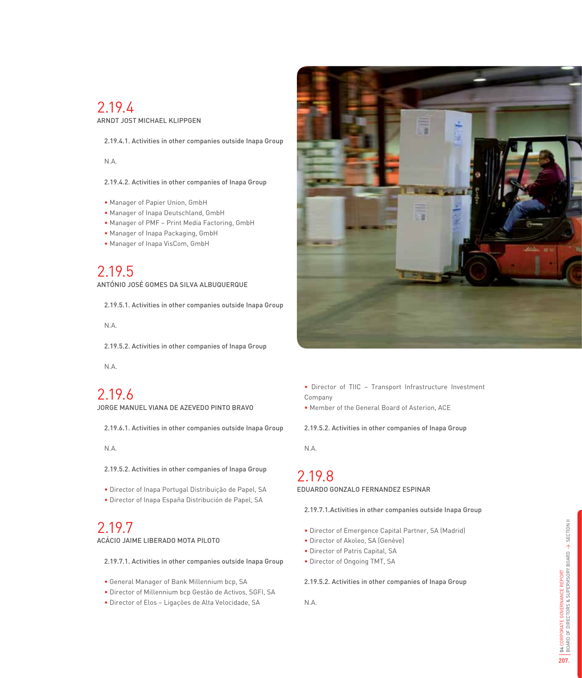#### 2.19.4 Arndt Jost Michael Klippgen

2.19.4.1. Activities in other companies outside Inapa Group

N.A.

2.19.4.2. Activities in other companies of Inapa Group

- Manager of Papier Union, GmbH
- Manager of Inapa Deutschland, GmbH
- Manager of PMF Print Media Factoring, GmbH
- Manager of Inapa Packaging, GmbH
- Manager of Inapa VisCom, GmbH

## 2.19.5

António José Gomes da Silva Albuquerque

2.19.5.1. Activities in other companies outside Inapa Group

N.A.

2.19.5.2. Activities in other companies of Inapa Group

N.A.

## 2.19.6

Jorge Manuel Viana de Azevedo Pinto Bravo

2.19.6.1. Activities in other companies outside Inapa Group

N.A.

2.19.5.2. Activities in other companies of Inapa Group

- Director of Inapa Portugal Distribuição de Papel, SA
- Director of Inapa España Distribución de Papel, SA

## 2.19.7

Acácio Jaime Liberado Mota Piloto

2.19.7.1. Activities in other companies outside Inapa Group

- General Manager of Bank Millennium bcp, SA
- Director of Millennium bcp Gestão de Activos, SGFI, SA
- Director of Elos Ligações de Alta Velocidade, SA

![](_page_37_Picture_28.jpeg)

• Director of TIIC – Transport Infrastructure Investment Company

• Member of the General Board of Asterion, ACE

2.19.5.2. Activities in other companies of Inapa Group

N.A.

## 2.19.8

Eduardo Gonzalo Fernandez Espinar

- 2.19.7.1.Activities in other companies outside Inapa Group
- Director of Emergence Capital Partner, SA (Madrid)
- Director of Akoleo, SA (Genève)
- Director of Patris Capital, SA
- Director of Ongoing TMT, SA

2.19.5.2. Activities in other companies of Inapa Group

N.A.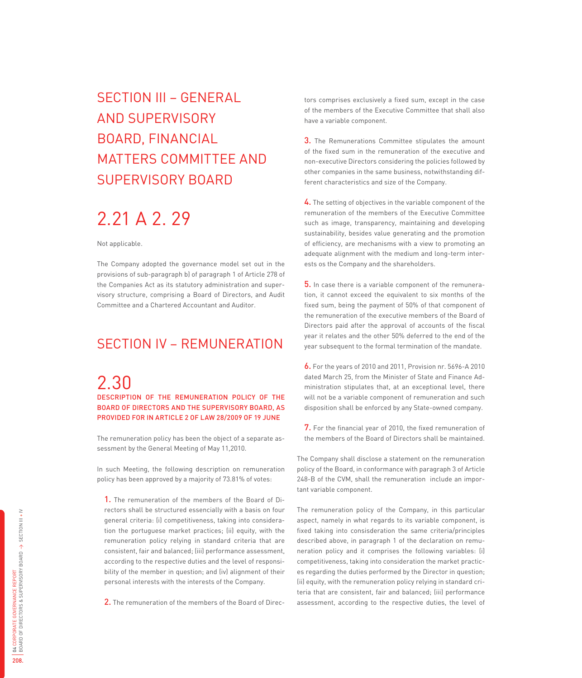## Section III – General and Supervisory Board, Financial MATTERS COMMITTEE AND Supervisory Board

# 2.21 A 2.29

Not applicable.

The Company adopted the governance model set out in the provisions of sub-paragraph b) of paragraph 1 of Article 278 of the Companies Act as its statutory administration and supervisory structure, comprising a Board of Directors, and Audit Committee and a Chartered Accountant and Auditor.

## Section IV – Remuneration

2.30 Description of the remuneration policy of the board of directors and the supervisory board, as provided for in article 2 of Law 28/2009 of 19 June

The remuneration policy has been the object of a separate assessment by the General Meeting of May 11,2010.

In such Meeting, the following description on remuneration policy has been approved by a majority of 73.81% of votes:

1. The remuneration of the members of the Board of Directors shall be structured essencially with a basis on four general criteria: (i) competitiveness, taking into consideration the portuguese market practices; (ii) equity, with the remuneration policy relying in standard criteria that are consistent, fair and balanced; (iii) performance assessment, according to the respective duties and the level of responsibility of the member in question; and (iv) alignment of their personal interests with the interests of the Company.

2. The remuneration of the members of the Board of Direc-

tors comprises exclusively a fixed sum, except in the case of the members of the Executive Committee that shall also have a variable component.

**3.** The Remunerations Committee stipulates the amount of the fixed sum in the remuneration of the executive and non-executive Directors considering the policies followed by other companies in the same business, notwithstanding different characteristics and size of the Company.

4. The setting of objectives in the variable component of the remuneration of the members of the Executive Committee such as image, transparency, maintaining and developing sustainability, besides value generating and the promotion of efficiency, are mechanisms with a view to promoting an adequate alignment with the medium and long-term interests os the Company and the shareholders.

5. In case there is a variable component of the remuneration, it cannot exceed the equivalent to six months of the fixed sum, being the payment of 50% of that component of the remuneration of the executive members of the Board of Directors paid after the approval of accounts of the fiscal year it relates and the other 50% deferred to the end of the year subsequent to the formal termination of the mandate.

6. For the years of 2010 and 2011, Provision nr. 5696-A 2010 dated March 25, from the Minister of State and Finance Administration stipulates that, at an exceptional level, there will not be a variable component of remuneration and such disposition shall be enforced by any State-owned company.

7. For the financial year of 2010, the fixed remuneration of the members of the Board of Directors shall be maintained.

The Company shall disclose a statement on the remuneration policy of the Board, in conformance with paragraph 3 of Article 248-B of the CVM, shall the remuneration include an important variable component.

The remuneration policy of the Company, in this particular aspect, namely in what regards to its variable component, is fixed taking into consisderation the same criteria/principles described above, in paragraph 1 of the declaration on remuneration policy and it comprises the following variables: (i) competitiveness, taking into consideration the market practices regarding the duties performed by the Director in question; (ii) equity, with the remuneration policy relying in standard criteria that are consistent, fair and balanced; (iii) performance assessment, according to the respective duties, the level of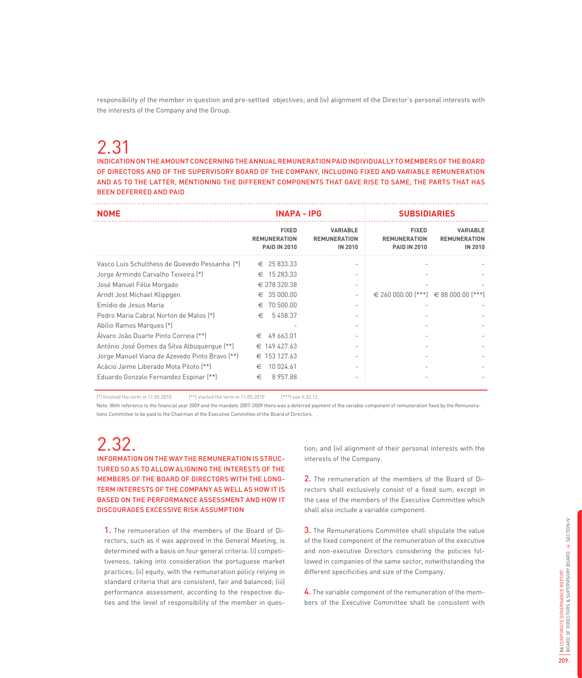responsibility of the member in question and pre-settled objectives; and (iv) alignment of the Director's personal interests with the interests of the Company and the Group.

# 2.31

Indication on the amount concerning the annual remuneration paidindividually to members of the board of directors and of the supervisory board of the company, including fixed and variable remuneration and as to the latter, mentioning the different components that gave rise to same, the parts that has been deferred and paid

| <b>NOME</b>                                    | <b>INAPA - IPG</b>                                         |                                                          | <b>SUBSIDIARIES</b>                                        |                                                          |
|------------------------------------------------|------------------------------------------------------------|----------------------------------------------------------|------------------------------------------------------------|----------------------------------------------------------|
|                                                | <b>FIXED</b><br><b>REMUNERATION</b><br><b>PAID IN 2010</b> | <b>VARIABLE</b><br><b>REMUNERATION</b><br><b>IN 2010</b> | <b>FIXED</b><br><b>REMUNERATION</b><br><b>PAID IN 2010</b> | <b>VARIABLE</b><br><b>REMUNERATION</b><br><b>IN 2010</b> |
| Vasco Luis Schulthess de Quevedo Pessanha [*]  | € 25 833.33                                                |                                                          |                                                            |                                                          |
| Jorge Armindo Carvalho Teixeira (*)            | 15 283.33<br>€                                             |                                                          |                                                            |                                                          |
| José Manuel Félix Morgado                      | € 378 320.38                                               |                                                          |                                                            |                                                          |
| Arndt Jost Michael Klippgen                    | 35 000.00<br>€                                             |                                                          | $\in$ 260 000.00 (***) $\in$ 88 000.00 (***)               |                                                          |
| Emídio de Jesus Maria                          | 70 500.00<br>€                                             |                                                          |                                                            |                                                          |
| Pedro Maria Cabral Norton de Matos [*]         | 5458.37<br>€                                               |                                                          |                                                            |                                                          |
| Abílio Ramos Marques (*)                       |                                                            |                                                          |                                                            |                                                          |
| Álvaro João Duarte Pinto Correia (**)          | 49 663.01<br>€                                             |                                                          |                                                            |                                                          |
| António José Gomes da Silva Albuquerque (**)   | 149 427.63<br>€                                            |                                                          |                                                            |                                                          |
| Jorge Manuel Viana de Azevedo Pinto Bravo (**) | 153 127.63<br>€                                            |                                                          |                                                            |                                                          |
| Acácio Jaime Liberado Mota Piloto (**)         | 10 024.61<br>€                                             |                                                          |                                                            |                                                          |
| Eduardo Gonzalo Fernandez Espinar (**)         | 8 9 5 7.8 8<br>€                                           |                                                          |                                                            |                                                          |

(\*) finished the term in 11.05.2010 (\*\*) started the term in 11.05.2010 (\*\*\*) see II.33.12.

Note: With reference to the financial year 2009 and the mandate 2007-2009 there was a deferred payment of the variable component of remuneration fixed by the Remunerations Committee to be paid to the Chairman of the Executive Committee of the Board of Directors.

# 2.32.

Information on the way the remuneration is structured so as to allow aligning the interests of the members of the board of directors with the longterm interests of the company as well as how it is based on the performance assessment and how it discourages excessive risk assumption

1. The remuneration of the members of the Board of Directors, such as it was approved in the General Meeting, is determined with a basis on four general criteria: (i) competitiveness, taking into consideration the portuguese market practices; (ii) equity, with the remuneration policy relying in standard criteria that are consistent, fair and balanced; (iii) performance assessment, according to the respective duties and the level of responsibility of the member in ques-

tion; and (iv) alignment of their personal interests with the interests of the Company.

2. The remuneration of the members of the Board of Directors shall exclusively consist of a fixed sum, except in the case of the members of the Executive Committee which shall also include a variable component.

**3.** The Remunerations Committee shall stipulate the value of the fixed component of the remuneration of the executive and non-executive Directors considering the policies followed in companies of the same sector, notwithstanding the different specificities and size of the Company.

4. The variable component of the remuneration of the members of the Executive Committee shall be consistent with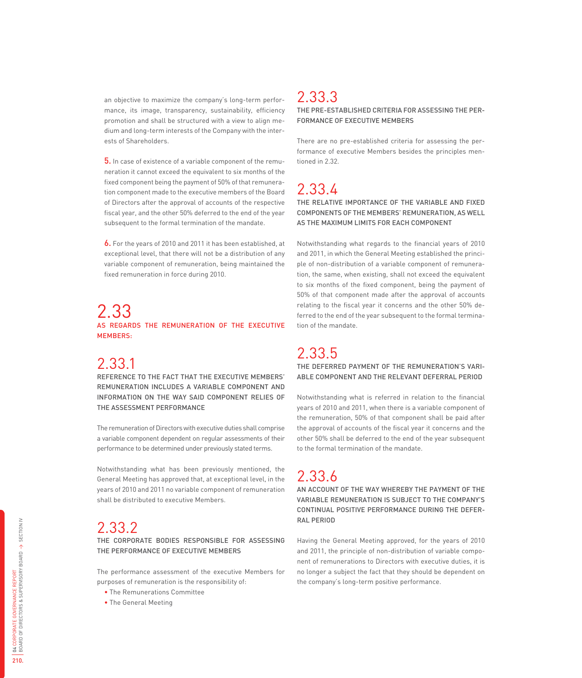an objective to maximize the company's long-term performance, its image, transparency, sustainability, efficiency promotion and shall be structured with a view to align medium and long-term interests of the Company with the interests of Shareholders.

5. In case of existence of a variable component of the remuneration it cannot exceed the equivalent to six months of the fixed component being the payment of 50% of that remuneration component made to the executive members of the Board of Directors after the approval of accounts of the respective fiscal year, and the other 50% deferred to the end of the year subsequent to the formal termination of the mandate.

6. For the years of 2010 and 2011 it has been established, at exceptional level, that there will not be a distribution of any variable component of remuneration, being maintained the fixed remuneration in force during 2010.

## 2.33

As regards the remuneration of the executive MEMRERS.

## 2.33.1

Reference to the fact that the executive members' remuneration includes a variable component and information on the way said component relies of the assessment performance

The remuneration of Directors with executive duties shall comprise a variable component dependent on regular assessments of their performance to be determined under previously stated terms.

Notwithstanding what has been previously mentioned, the General Meeting has approved that, at exceptional level, in the years of 2010 and 2011 no variable component of remuneration shall be distributed to executive Members.

## 2.33.2

The corporate bodies responsible for assessing the performance of executive members

The performance assessment of the executive Members for purposes of remuneration is the responsibility of:

- The Remunerations Committee
- The General Meeting

#### 2.33.3

The pre-established criteria for assessing the performance of executive Members

There are no pre-established criteria for assessing the performance of executive Members besides the principles mentioned in 2.32.

## 2.33.4

The relative importance of the variable and fixed components of the members' remuneration, as well as the maximum limits for each component

Notwithstanding what regards to the financial years of 2010 and 2011, in which the General Meeting established the principle of non-distribution of a variable component of remuneration, the same, when existing, shall not exceed the equivalent to six months of the fixed component, being the payment of 50% of that component made after the approval of accounts relating to the fiscal year it concerns and the other 50% deferred to the end of the year subsequent to the formal termination of the mandate.

## 2.33.5

The deferred payment of the remuneration's variable component and the relevant deferral period

Notwithstanding what is referred in relation to the financial years of 2010 and 2011, when there is a variable component of the remuneration, 50% of that component shall be paid after the approval of accounts of the fiscal year it concerns and the other 50% shall be deferred to the end of the year subsequent to the formal termination of the mandate.

## 2.33.6

An account of the way whereby the payment of the variable remuneration is subject to the company's continual positive performance during the deferral period

Having the General Meeting approved, for the years of 2010 and 2011, the principle of non-distribution of variable component of remunerations to Directors with executive duties, it is no longer a subject the fact that they should be dependent on the company's long-term positive performance.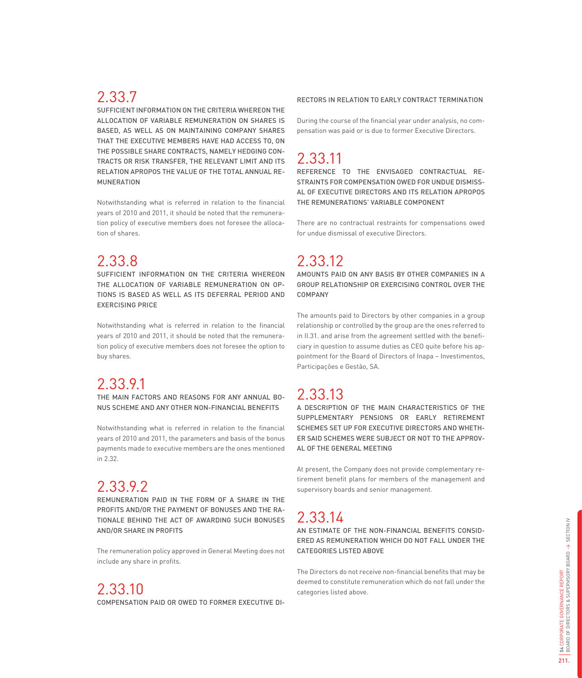## 2.33.7

Sufficient information on the criteria whereon the allocation of variable remuneration on shares is based, as well as on maintaining company shares that the executive members have had access to, on the possible share contracts, namely hedging contracts or risk transfer, the relevant limit and its relation apropos the value of the total annual remuneration

Notwithstanding what is referred in relation to the financial years of 2010 and 2011, it should be noted that the remuneration policy of executive members does not foresee the allocation of shares.

## 2.33.8

Sufficient information on the criteria whereon the allocation of variable remuneration on options is based as well as its deferral period and exercising price

Notwithstanding what is referred in relation to the financial years of 2010 and 2011, it should be noted that the remuneration policy of executive members does not foresee the option to buy shares.

## 2.33.9.1

The main factors and reasons for any annual bonus scheme and any other non-financial benefits

Notwithstanding what is referred in relation to the financial years of 2010 and 2011, the parameters and basis of the bonus payments made to executive members are the ones mentioned in 2.32.

## 2.33.9.2

Remuneration paid in the form of a share in the profits and/or the payment of bonuses and the rationale behind the act of awarding such bonuses and/or share in profits

The remuneration policy approved in General Meeting does not include any share in profits.

## 2.33.10

Compensation paid or owed to former executive di-

#### rectors in relation to early contract termination

During the course of the financial year under analysis, no compensation was paid or is due to former Executive Directors.

## 2.33.11

Reference to the envisaged contractual restraints for compensation owed for undue dismissal of executive directors and its relation apropos the remunerations' variable component

There are no contractual restraints for compensations owed for undue dismissal of executive Directors.

## 2.33.12

Amounts paid on any basis by other companies in a group relationship or exercising control over the company

The amounts paid to Directors by other companies in a group relationship or controlled by the group are the ones referred to in II.31. and arise from the agreement settled with the beneficiary in question to assume duties as CEO quite before his appointment for the Board of Directors of Inapa – Investimentos, Participações e Gestão, SA.

## 2.33.13

A description of the main characteristics of the supplementary pensions or early retirement schemes set up for executive directors and whether said schemes were subject or not to the approval of the general meeting

At present, the Company does not provide complementary retirement benefit plans for members of the management and supervisory boards and senior management.

## 2.33.14

An estimate of the non-financial benefits considered as remuneration which do not fall under the categories listed above

The Directors do not receive non-financial benefits that may be deemed to constitute remuneration which do not fall under the categories listed above.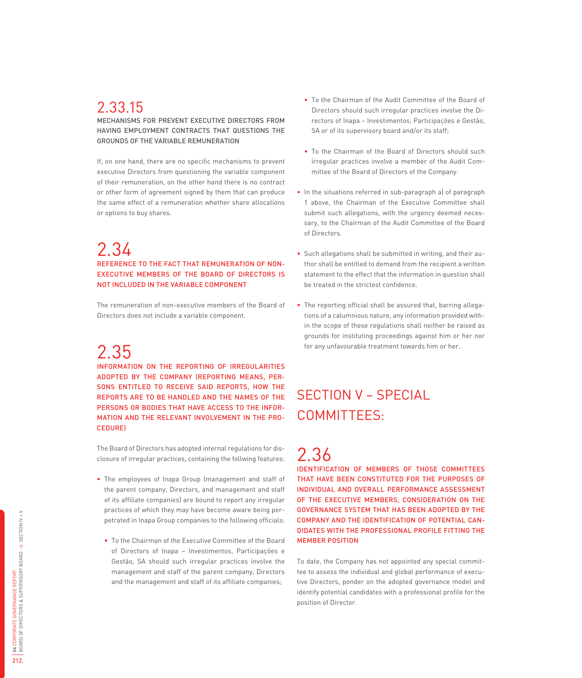# 2.33.15

#### Mechanisms for prevent executive directors from having employment contracts that questions the grounds of the variable remuneration

If, on one hand, there are no specific mechanisms to prevent executive Directors from questioning the variable component of their remuneration, on the other hand there is no contract or other form of agreement signed by them that can produce the same effect of a remuneration whether share allocations or options to buy shares.

# 2.34

#### Reference to the fact that remuneration of nonexecutive members of the Board of Directors is not included in the variable component

The remuneration of non-executive members of the Board of Directors does not include a variable component.

# 2.35

Information on the reporting of irregularities adopted by the company (reporting means, persons entitled to receive said reports, how the reports are to be handled and the names of the persons or bodies that have access to the information and the relevant involvement in the procedure)

The Board of Directors has adopted internal regulations for disclosure of irregular practices, containing the follwing features:

- The employees of Inapa Group (management and staff of •the parent company, Directors, and management and staff of its affiliate companies) are bound to report any irregular practices of which they may have become aware being perpetrated in Inapa Group companies to the following officials:
	- To the Chairman of the Executive Committee of the Board of Directors of Inapa – Investimentos, Participações e Gestão, SA should such irregular practices involve the management and staff of the parent company, Directors and the management and staff of its affiliate companies;
- To the Chairman of the Audit Committee of the Board of Directors should such irregular practices involve the Directors of Inapa – Investimentos, Participações e Gestão, SA or of its supervisory board and/or its staff;
- To the Chairman of the Board of Directors should such irregular practices involve a member of the Audit Committee of the Board of Directors of the Company.
- In the situations referred in sub-paragraph a) of paragraph 1 above, the Chairman of the Executive Committee shall submit such allegations, with the urgency deemed necessary, to the Chairman of the Audit Committee of the Board of Directors.
- Such allegations shall be submitted in writing, and their author shall be entitled to demand from the recipient a written statement to the effect that the information in question shall be treated in the strictest confidence.
- The reporting official shall be assured that, barring allegations of a calumnious nature, any information provided within the scope of these regulations shall neither be raised as grounds for instituting proceedings against him or her nor for any unfavourable treatment towards him or her.

## Section V – Special COMMITTEES:

# 2.36

Identification of members of those committees that have been constituted for the purposes of individual and overall performance assessment of the executive members, consideration on the governance system that has been adopted by the company and the identification of potential candidates with the professional profile fitting the member position

To date, the Company has not appointed any special committee to assess the individual and global performance of executive Directors, ponder on the adopted governance model and identify potential candidates with a professional profile for the position of Director.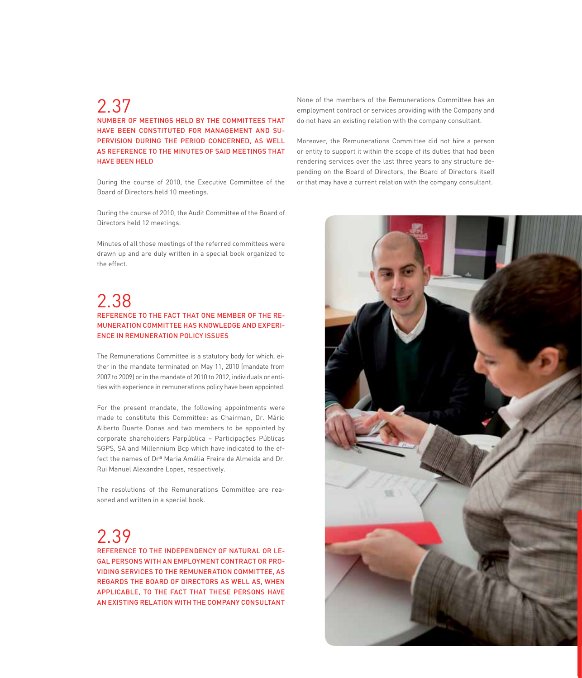# 2.37

Number of meetings held by the committees that have been constituted for management and supervision during the period concerned, as well as reference to the minutes of said meetings that HAVE BEEN HELD

During the course of 2010, the Executive Committee of the Board of Directors held 10 meetings.

During the course of 2010, the Audit Committee of the Board of Directors held 12 meetings.

Minutes of all those meetings of the referred committees were drawn up and are duly written in a special book organized to the effect.

#### 2.38 Reference to the fact that one member of the remuneration committee has knowledge and experience in remuneration policy issues

The Remunerations Committee is a statutory body for which, either in the mandate terminated on May 11, 2010 (mandate from 2007 to 2009) or in the mandate of 2010 to 2012, individuals or entities with experience in remunerations policy have been appointed.

For the present mandate, the following appointments were made to constitute this Committee: as Chairman, Dr. Mário Alberto Duarte Donas and two members to be appointed by corporate shareholders Parpública – Participações Públicas SGPS, SA and Millennium Bcp which have indicated to the effect the names of Drª Maria Amália Freire de Almeida and Dr. Rui Manuel Alexandre Lopes, respectively.

The resolutions of the Remunerations Committee are reasoned and written in a special book.

## 2.39

Reference to the independency of natural or legal persons with an employment contract or providing services to the remuneration committee, as regards the Board of Directors as well as, when applicable, to the fact that these persons have an existing relation with the company consultant

None of the members of the Remunerations Committee has an employment contract or services providing with the Company and do not have an existing relation with the company consultant.

Moreover, the Remunerations Committee did not hire a person or entity to support it within the scope of its duties that had been rendering services over the last three years to any structure depending on the Board of Directors, the Board of Directors itself or that may have a current relation with the company consultant.

![](_page_43_Picture_13.jpeg)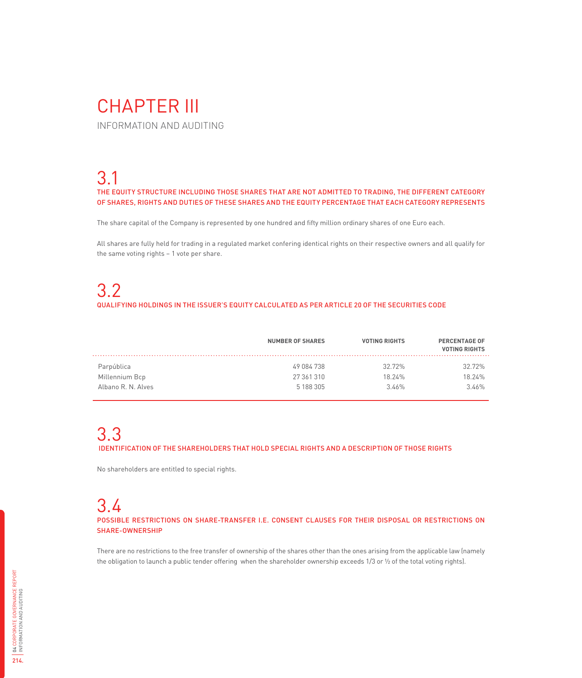## **CHAPTER III** Information and Auditing

# 3.1

The equity structure including those shares that are not admitted to trading, the different category of shares, rights and duties of these shares and the equity percentage that each category represents

The share capital of the Company is represented by one hundred and fifty million ordinary shares of one Euro each.

All shares are fully held for trading in a regulated market confering identical rights on their respective owners and all qualify for the same voting rights – 1 vote per share.

### 3.2 Qualifying holdings in the issuer's equity calculated as per article 20 of the Securities Code

|                    | <b>NUMBER OF SHARES</b> | <b>VOTING RIGHTS</b> | <b>PERCENTAGE OF</b><br><b>VOTING RIGHTS</b> |
|--------------------|-------------------------|----------------------|----------------------------------------------|
| Parpública         | 49 084 738              | 3272%                | 3272%                                        |
| Millennium Bcp     | 27 361 310              | 18 24%               | 18.24%                                       |
| Albano R. N. Alves | 5 188 305               | 3.46%                | 3.46%                                        |

#### 3.3 Identification of the shareholders that hold special rights and a description of those rights

No shareholders are entitled to special rights.

## 3.4

Possible restrictions on share-transfer i.e. consent clauses for their disposal or restrictions on share-ownership

There are no restrictions to the free transfer of ownership of the shares other than the ones arising from the applicable law (namely the obligation to launch a public tender offering when the shareholder ownership exceeds 1/3 or 1/2 of the total voting rights).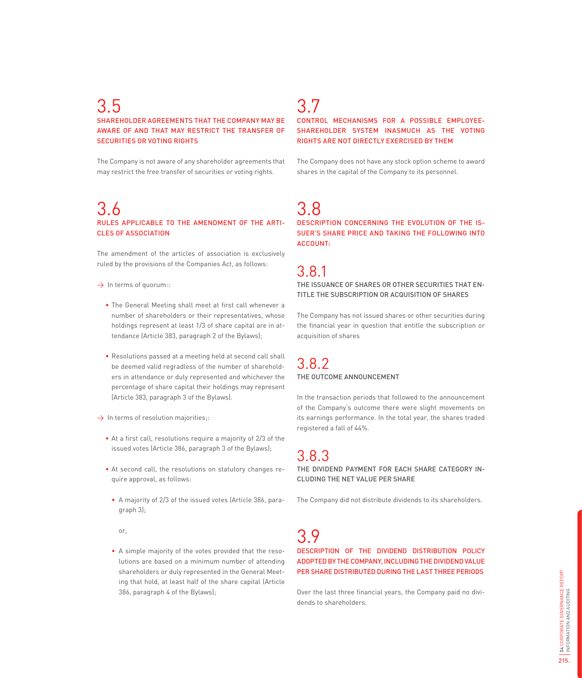# 3.5

#### Shareholder agreements that the company may be aware of and that may restrict the transfer of SECURITIES OR VOTING RIGHTS

The Company is not aware of any shareholder agreements that may restrict the free transfer of securities or voting rights.

## 3.6

#### Rules applicable to the amendment of the articles of association

The amendment of the articles of association is exclusively ruled by the provisions of the Companies Act, as follows:

- $\rightarrow$  In terms of quorum::
	- The General Meeting shall meet at first call whenever a number of shareholders or their representatives, whose holdings represent at least 1/3 of share capital are in attendance (Article 383, paragraph 2 of the Bylaws);
	- Resolutions passed at a meeting held at second call shall be deemed valid regradless of the number of shareholders in attendance or duly represented and whichever the percentage of share capital their holdings may represent (Article 383, paragraph 3 of the Bylaws).
- $\rightarrow$  In terms of resolution majorities;
	- At a first call, resolutions require a majority of 2/3 of the issued votes (Article 386, paragraph 3 of the Bylaws);
	- At second call, the resolutions on statutory changes re-• quire approval, as follows:
	- A majority of 2/3 of the issued votes (Article 386, paragraph 3);
		- or,
	- A simple majority of the votes provided that the reso-•lutions are based on a minimum number of attending shareholders or duly represented in the General Meeting that hold, at least half of the share capital (Article 386, paragraph 4 of the Bylaws);

## 3.7

#### Control mechanisms for a possible employeeshareholder system inasmuch as the voting rights are not directly exercised by them

The Company does not have any stock option scheme to award shares in the capital of the Company to its personnel.

## 3.8

Description concerning the evolution of the issuer's share price and taking the following into account:

## 3.8.1

The issuance of shares or other securities that entitle the subscription or acquisition of shares

The Company has not issued shares or other securities during the financial year in question that entitle the subscription or acquisition of shares

#### 3.8.2 The outcome announcement

In the transaction periods that followed to the announcement of the Company's outcome there were slight movements on its earnings performance. In the total year, the shares traded registered a fall of 44%.

## 3.8.3

The dividend payment for each share category including the net value per share

The Company did not distribute dividends to its shareholders.

# 3.9

Description of the dividend distribution policy ADOPTED BY THE COMPANY, INCLUDING THE DIVIDEND VALUE per share distributed during the last three periods

Over the last three financial years, the Company paid no dividends to shareholders.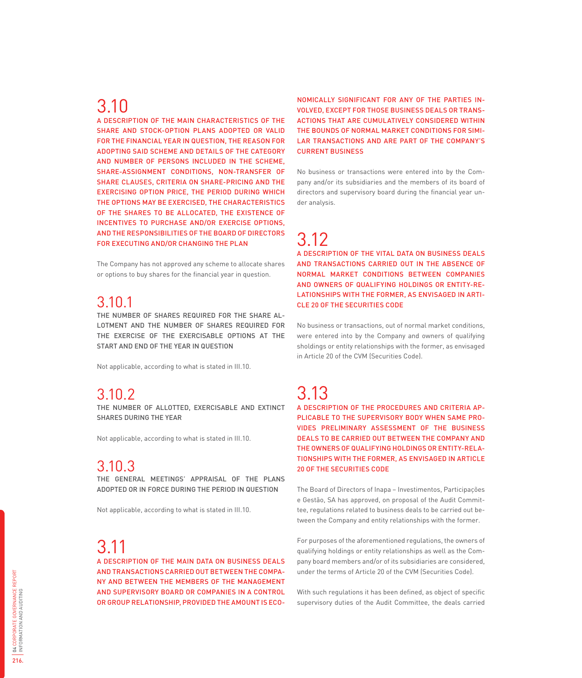# 3.10

A description of the main characteristics of the share and stock-option plans adopted or valid for the financial year in question, the reason for adopting said scheme and details of the category and number of persons included in the scheme, share-assignment conditions, non-transfer of share clauses, criteria on share-pricing and the exercising option price, the period during which the options may be exercised, the characteristics of the shares to be allocated, the existence of incentives to purchase and/or exercise options, and the responsibilities of the Board of Directors for executing and/or changing the plan

The Company has not approved any scheme to allocate shares or options to buy shares for the financial year in question.

## 3.10.1

The number of shares required for the share allotment and the number of shares required for the exercise of the exercisable options at the start and end of the year in question

Not applicable, according to what is stated in III.10.

## 3.10.2

The number of allotted, exercisable and extinct shares during the year

Not applicable, according to what is stated in III.10.

## 3.10.3

The general meetings' appraisal of the plans adopted or in force during the period in question

Not applicable, according to what is stated in III.10.

# 3.11

A description of the main data on business deals and transactions carried out between the company and between the members of the Management and Supervisory Board or companies in a control or group relationship, provided the amount is economically significant for any of the parties involved, except for those business deals or transactions that are cumulatively considered within the bounds of normal market conditions for similar transactions and are part of the company's current business

No business or transactions were entered into by the Company and/or its subsidiaries and the members of its board of directors and supervisory board during the financial year under analysis.

# 3.12

A description of the vital data on business deals and transactions carried out in the absence of normal market conditions between companies and owners of qualifying holdings or entity-relationships with the former, as envisaged in article 20 of the Securities Code

No business or transactions, out of normal market conditions, were entered into by the Company and owners of qualifying sholdings or entity relationships with the former, as envisaged in Article 20 of the CVM (Securities Code).

# 3.13

A description of the procedures and criteria applicable to the supervisory body when same provides preliminary assessment of the business deals to be carried out between the company and the owners of qualifying holdings or entity-relationships with the former, as envisaged in article 20 of the Securities Code

The Board of Directors of Inapa – Investimentos, Participações e Gestão, SA has approved, on proposal of the Audit Committee, regulations related to business deals to be carried out between the Company and entity relationships with the former.

For purposes of the aforementioned regulations, the owners of qualifying holdings or entity relationships as well as the Company board members and/or of its subsidiaries are considered, under the terms of Article 20 of the CVM (Securities Code).

With such regulations it has been defined, as object of specific supervisory duties of the Audit Committee, the deals carried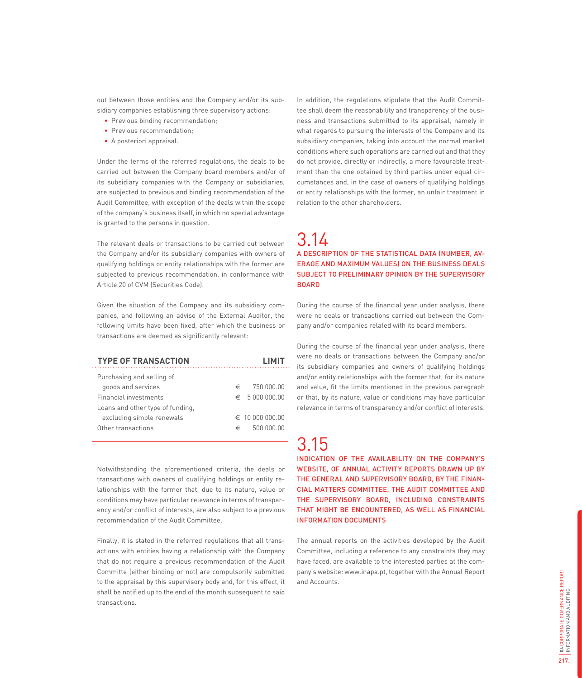out between those entities and the Company and/or its subsidiary companies establishing three supervisory actions:

- Previous binding recommendation;
- Previous recommendation;
- A posteriori appraisal.

Under the terms of the referred regulations, the deals to be carried out between the Company board members and/or of its subsidiary companies with the Company or subsidiaries, are subjected to previous and binding recommendation of the Audit Committee, with exception of the deals within the scope of the company's business itself, in which no special advantage is granted to the persons in question.

The relevant deals or transactions to be carried out between the Company and/or its subsidiary companies with owners of qualifying holdings or entity relationships with the former are subjected to previous recommendation, in conformance with Article 20 of CVM (Securities Code).

Given the situation of the Company and its subsidiary companies, and following an advise of the External Auditor, the following limits have been fixed, after which the business or transactions are deemed as significantly relevant:

| <b>TYPE OF TRANSACTION</b>       |   | LIMIT                    |
|----------------------------------|---|--------------------------|
| Purchasing and selling of        |   |                          |
| goods and services               | € | 750 000.00               |
| Financial investments            | € | 5 000 000.00             |
| Loans and other type of funding, |   |                          |
| excluding simple renewals        |   | $\epsilon$ 10 000 000.00 |
| Other transactions               | € | 500,000,00               |
|                                  |   |                          |

Notwithstanding the aforementioned criteria, the deals or transactions with owners of qualifying holdings or entity relationships with the former that, due to its nature, value or conditions may have particular relevance in terms of transparency and/or conflict of interests, are also subject to a previous recommendation of the Audit Committee.

Finally, it is stated in the referred regulations that all transactions with entities having a relationship with the Company that do not require a previous recommendation of the Audit Committe (either binding or not) are compulsorily submitted to the appraisal by this supervisory body and, for this effect, it shall be notified up to the end of the month subsequent to said transactions.

In addition, the regulations stipulate that the Audit Committee shall deem the reasonability and transparency of the business and transactions submitted to its appraisal, namely in what regards to pursuing the interests of the Company and its subsidiary companies, taking into account the normal market conditions where such operations are carried out and that they do not provide, directly or indirectly, a more favourable treatment than the one obtained by third parties under equal circumstances and, in the case of owners of qualifying holdings or entity relationships with the former, an unfair treatment in relation to the other shareholders.

# 3.14

A description of the statistical data (number, average and maximum values) on the business deals subject to preliminary opinion by the supervisory **BOARD** 

During the course of the financial year under analysis, there were no deals or transactions carried out between the Company and/or companies related with its board members.

During the course of the financial year under analysis, there were no deals or transactions between the Company and/or its subsidiary companies and owners of qualifying holdings and/or entity relationships with the former that, for its nature and value, fit the limits mentioned in the previous paragraph or that, by its nature, value or conditions may have particular relevance in terms of transparency and/or conflict of interests.

# 3.15

Indication of the availability on the company's website, of annual activity reports drawn up by the general and supervisory board, by the financial matters committee, the audit committee and the supervisory board, including constraints that might be encountered, as well as financial information documents

The annual reports on the activities developed by the Audit Committee, including a reference to any constraints they may have faced, are available to the interested parties at the company's website: www.inapa.pt, together with the Annual Report and Accounts.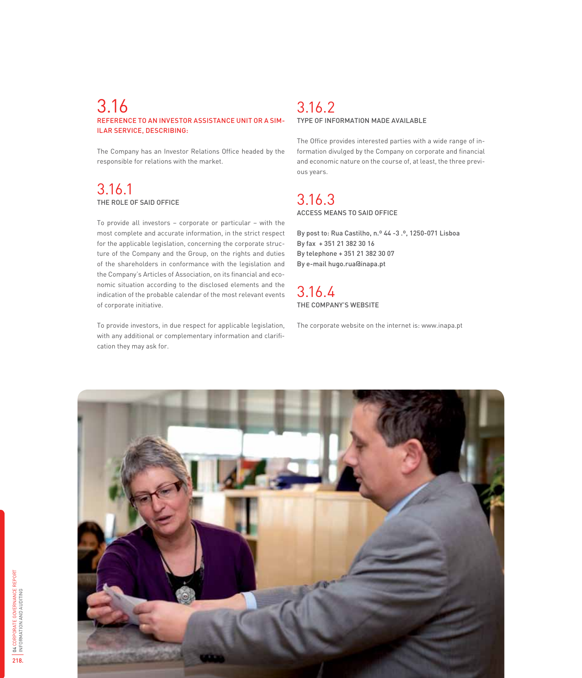### 3.16 Reference to an Investor Assistance Unit or a similar service, describing:

The Company has an Investor Relations Office headed by the responsible for relations with the market.

#### 3.16.1 The role of said office

To provide all investors – corporate or particular – with the most complete and accurate information, in the strict respect for the applicable legislation, concerning the corporate structure of the Company and the Group, on the rights and duties of the shareholders in conformance with the legislation and the Company's Articles of Association, on its financial and economic situation according to the disclosed elements and the indication of the probable calendar of the most relevant events of corporate initiative.

To provide investors, in due respect for applicable legislation, with any additional or complementary information and clarification they may ask for.

#### 3.16.2 Type of information made available

The Office provides interested parties with a wide range of information divulged by the Company on corporate and financial and economic nature on the course of, at least, the three previous years.

## 3.16.3

Access means to said Office

By post to: Rua Castilho, n.º 44 -3 .º, 1250-071 Lisboa By fax + 351 21 382 30 16 By telephone + 351 21 382 30 07 By e-mail hugo.rua@inapa.pt

3.16.4 The company's website

The corporate website on the internet is: www.inapa.pt

![](_page_48_Picture_12.jpeg)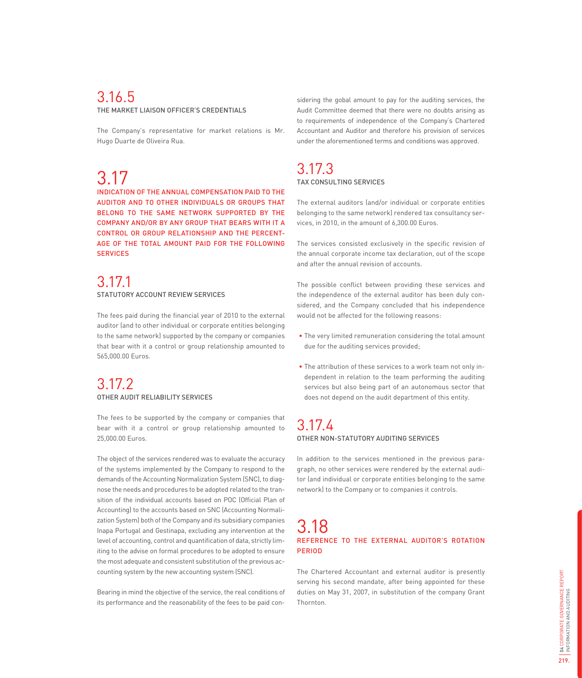## 3.16.5

The market liaison officer's credentials

The Company's representative for market relations is Mr. Hugo Duarte de Oliveira Rua.

# 3.17

Indication of the annual compensation paid to the auditor and to other individuals or groups that belong to the same network supported by the company and/or by any group that bears with it a control or group relationship and the percentage of the total amount paid for the following **SERVICES** 

## 3.17.1

STATUTORY ACCOUNT REVIEW SERVICES

The fees paid during the financial year of 2010 to the external auditor (and to other individual or corporate entities belonging to the same network) supported by the company or companies that bear with it a control or group relationship amounted to 565,000.00 Euros.

# 3.17.2

Other audit reliability services

The fees to be supported by the company or companies that bear with it a control or group relationship amounted to 25,000.00 Euros.

The object of the services rendered was to evaluate the accuracy of the systems implemented by the Company to respond to the demands of the Accounting Normalization System (SNC), to diagnose the needs and procedures to be adopted related to the transition of the individual accounts based on POC (Official Plan of Accounting) to the accounts based on SNC (Accounting Normalization System) both of the Company and its subsidiary companies Inapa Portugal and Gestinapa, excluding any intervention at the level of accounting, control and quantification of data, strictly limiting to the advise on formal procedures to be adopted to ensure the most adequate and consistent substitution of the previous accounting system by the new accounting system (SNC).

Bearing in mind the objective of the service, the real conditions of its performance and the reasonability of the fees to be paid considering the gobal amount to pay for the auditing services, the Audit Committee deemed that there were no doubts arising as to requirements of independence of the Company's Chartered Accountant and Auditor and therefore his provision of services under the aforementioned terms and conditions was approved.

## 3.17.3

Tax consulting services

The external auditors (and/or individual or corporate entities belonging to the same network) rendered tax consultancy services, in 2010, in the amount of 6,300.00 Euros.

The services consisted exclusively in the specific revision of the annual corporate income tax declaration, out of the scope and after the annual revision of accounts.

The possible conflict between providing these services and the independence of the external auditor has been duly considered, and the Company concluded that his independence would not be affected for the following reasons:

- The very limited remuneration considering the total amount due for the auditing services provided;
- The attribution of these services to a work team not only independent in relation to the team performing the auditing services but also being part of an autonomous sector that does not depend on the audit department of this entity.

#### 3.17.4 Other non-statutory auditing services

In addition to the services mentioned in the previous paragraph, no other services were rendered by the external auditor (and individual or corporate entities belonging to the same network) to the Company or to companies it controls.

#### 3.18 Reference to the external auditor's rotation period

The Chartered Accountant and external auditor is presently serving his second mandate, after being appointed for these duties on May 31, 2007, in substitution of the company Grant Thornton.